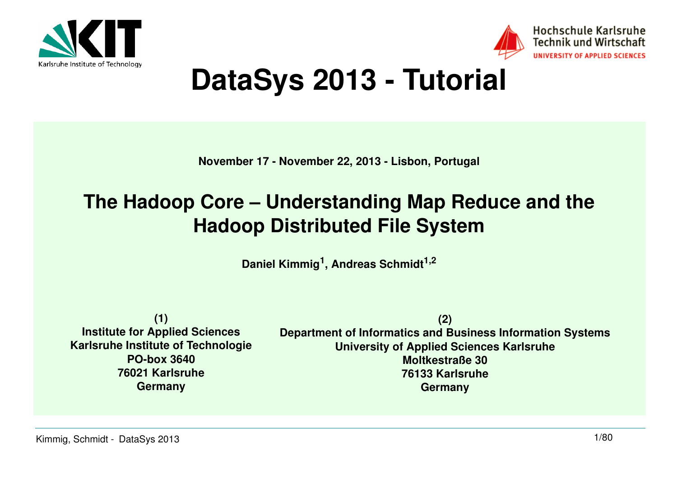



## **DataSys 2013 - Tutorial**

**November 17 - November 22, 2013 - Lisbon, Portugal**

## **The Hadoop Core – Understanding Map Reduce and the Hadoop Distributed File System**

**Daniel Kimmig<sup>1</sup>, Andreas Schmidt1,2**

**(1) Institute for Applied Sciences Karlsruhe Institute of TechnologiePO-box 3640 76021 KarlsruheGermany**

**(2) Department of Informatics and Business Information SystemsUniversity of Applied Sciences KarlsruheMoltkestraße 30 76133 KarlsruheGermany**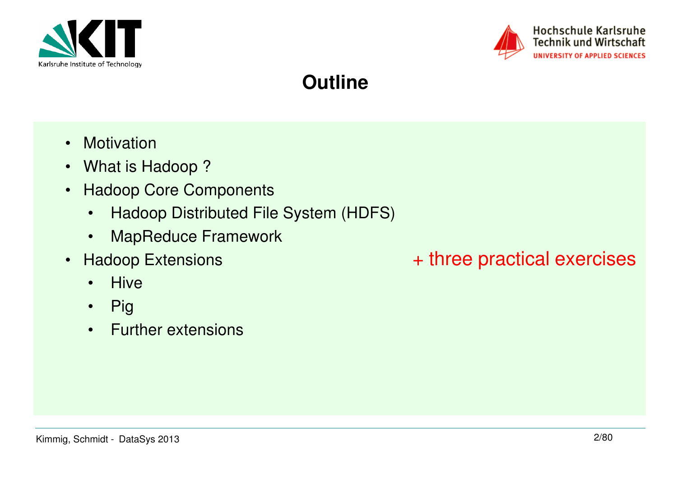



#### **Outline**

- Motivation
- What is Hadoop ?
- Hadoop Core Components
	- •Hadoop Distributed File System (HDFS)
	- •MapReduce Framework
- Hadoop Extensions
	- •**Hive**
	- $\bullet$ Pig
	- Further extensions

#### + three practical exercises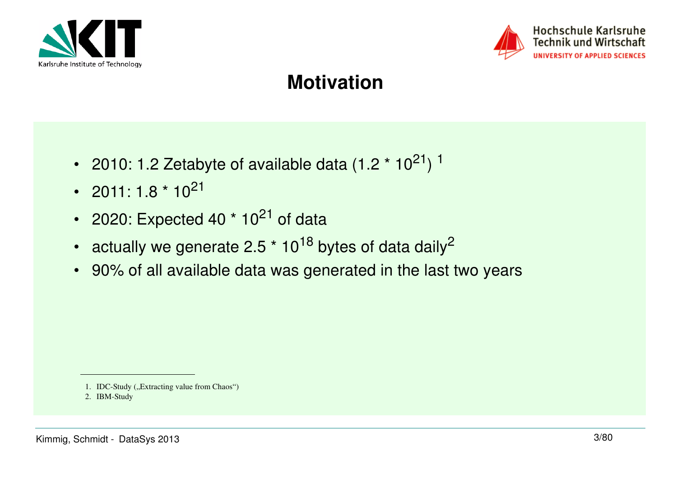



#### Hochschule Karlsruhe **Technik und Wirtschaft UNIVERSITY OF APPLIED SCIENCES**

#### **Motivation**

- •2010: 1.2 Zetabyte of available data  $(1.2 * 10^{21})$ <sup>1</sup>
- • $2011: 1.8 * 10^{21}$
- •2020: Expected 40  $*$  10<sup>21</sup> of data
- •actually we generate 2.5  $*$  10<sup>18</sup> bytes of data daily<sup>2</sup>
- 90% of all available data was generated in the last two years

<sup>1.</sup> IDC-Study ("Extracting value from Chaos")

<sup>2.</sup> IBM-Study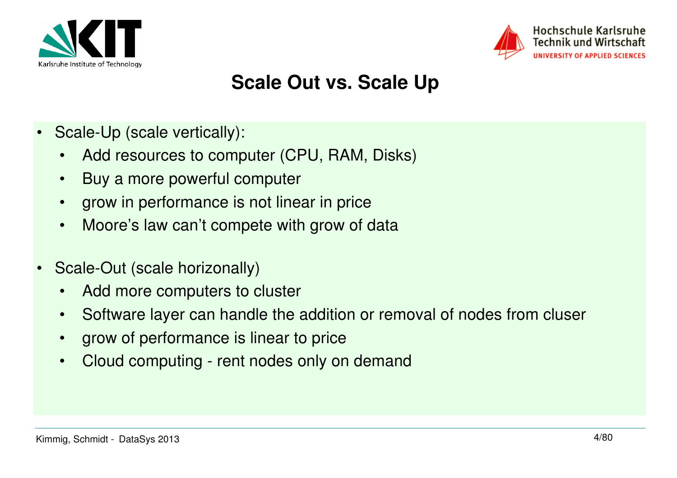



#### **Scale Out vs. Scale Up**

- • Scale-Up (scale vertically):
	- •Add resources to computer (CPU, RAM, Disks)
	- $\bullet$ Buy a more powerful computer
	- •grow in performance is not linear in price
	- •Moore's law can't compete with grow of data
- • Scale-Out (scale horizonally)
	- •Add more computers to cluster
	- •Software layer can handle the addition or removal of nodes from cluser
	- •grow of performance is linear to price
	- •Cloud computing - rent nodes only on demand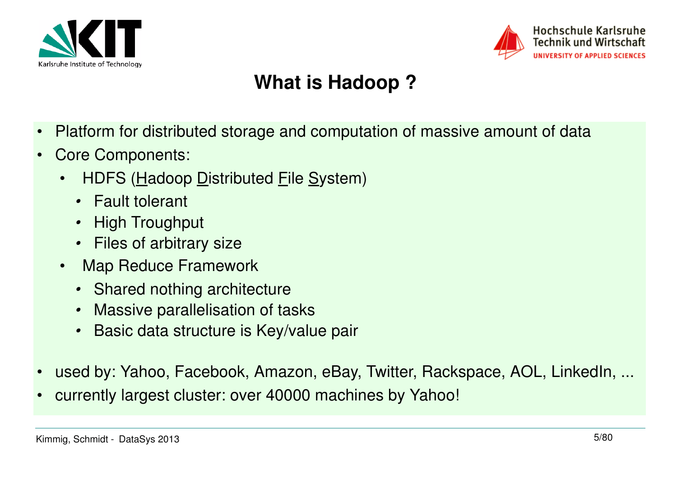



#### **What is Hadoop ?**

- •Platform for distributed storage and computation of massive amount of data
- • Core Components:
	- •HDFS (Hadoop Distributed File System)
		- Fault tolerant
		- •High Troughput
		- Files of arbitrary size
	- • Map Reduce Framework
		- Shared nothing architecture
		- Massive parallelisation of tasks•
		- Basic data structure is Key/value pair •
- •used by: Yahoo, Facebook, Amazon, eBay, Twitter, Rackspace, AOL, LinkedIn, ...
- •currently largest cluster: over 40000 machines by Yahoo!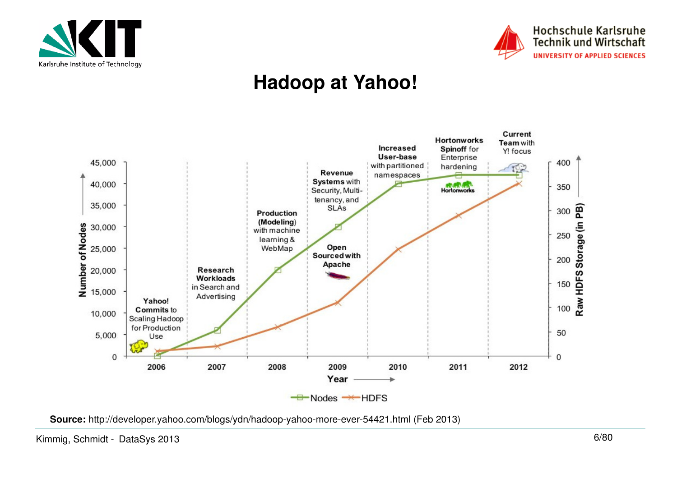



#### **Hadoop at Yahoo!**



**Source:** http://developer.yahoo.com/blogs/ydn/hadoop-yahoo-more-ever-54421.html (Feb 2013)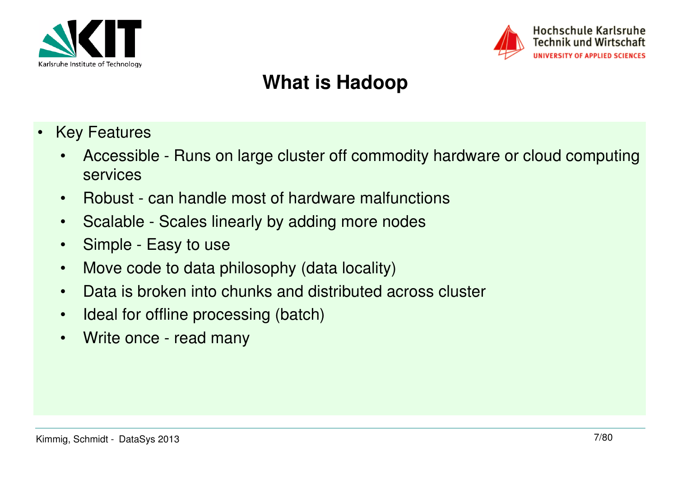



## **What is Hadoop**

- • Key Features
	- • Accessible - Runs on large cluster off commodity hardware or cloud computingservices
	- $\bullet$ Robust - can handle most of hardware malfunctions
	- •Scalable - Scales linearly by adding more nodes
	- Simple Easy to use
	- •Move code to data philosophy (data locality)
	- •Data is broken into chunks and distributed across cluster
	- $\bullet$ Ideal for offline processing (batch)
	- •Write once - read many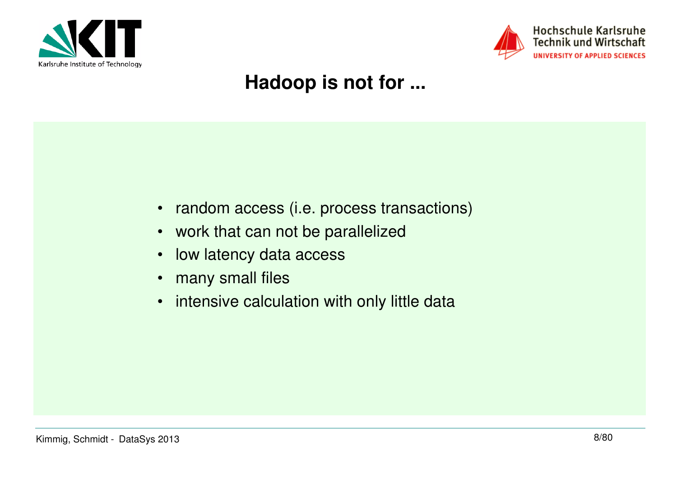



#### Hochschule Karlsruhe **Technik und Wirtschaft** UNIVERSITY OF APPLIED SCIENCES

#### **Hadoop is not for ...**

- random access (i.e. process transactions)
- work that can not be parallelized
- •low latency data access
- •many small files
- •intensive calculation with only little data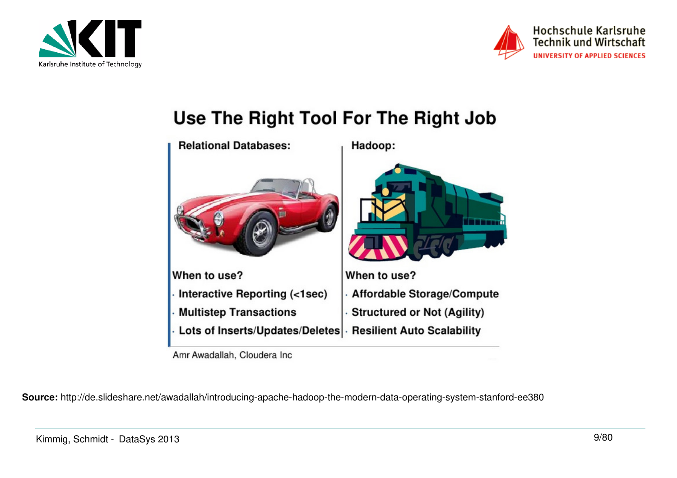



#### Use The Right Tool For The Right Job



Amr Awadallah, Cloudera Inc.

**Source:** http://de.slideshare.net/awadallah/introducing-apache-hadoop-the-modern-data-operating-system-stanford-ee380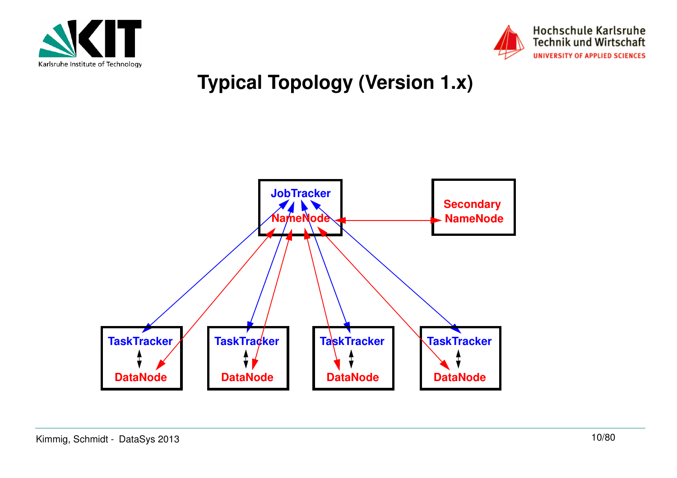



## **Typical Topology (Version 1.x)**

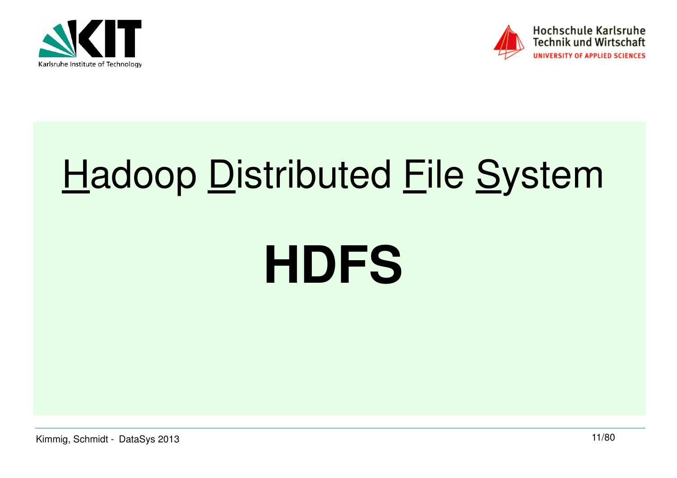



## **Hadoop Distributed File System**

## **HDFS**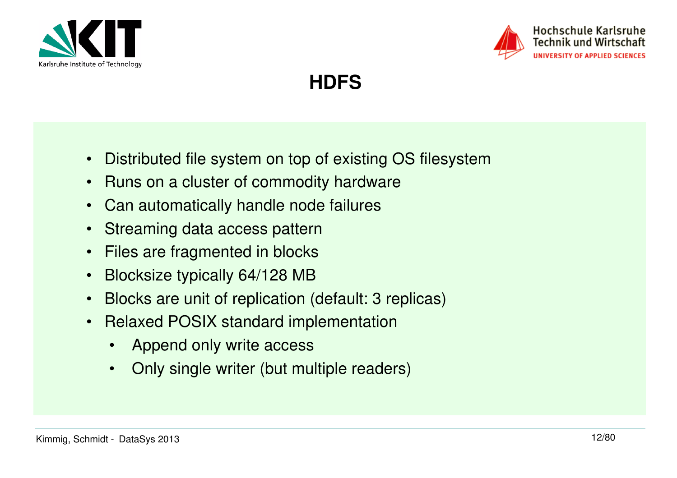



**HDFS**

- $\bullet$ Distributed file system on top of existing OS filesystem
- $\bullet$ Runs on a cluster of commodity hardware
- •Can automatically handle node failures
- $\bullet$ Streaming data access pattern
- •Files are fragmented in blocks
- •Blocksize typically 64/128 MB
- Blocks are unit of replication (default: 3 replicas)•
- Relaxed POSIX standard implementation
	- •Append only write access
	- $\bullet$ Only single writer (but multiple readers)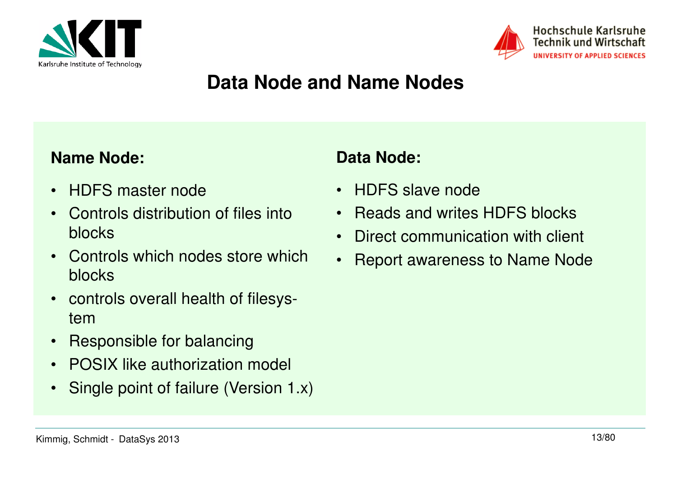



#### **Data Node and Name Nodes**

#### **Name Node:**

- •HDFS master node
- • Controls distribution of files into blocks
- • Controls which nodes store which blocks
- • controls overall health of filesystem
- Responsible for balancing•
- •POSIX like authorization model
- $\bullet$ Single point of failure (Version 1.x)

#### **Data Node:**

- HDFS slave node
- Reads and writes HDFS blocks
- •Direct communication with client
- Report awareness to Name Node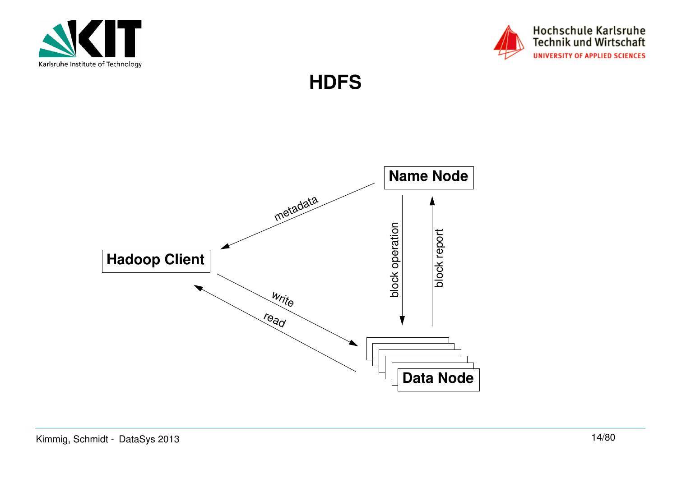



**HDFS**

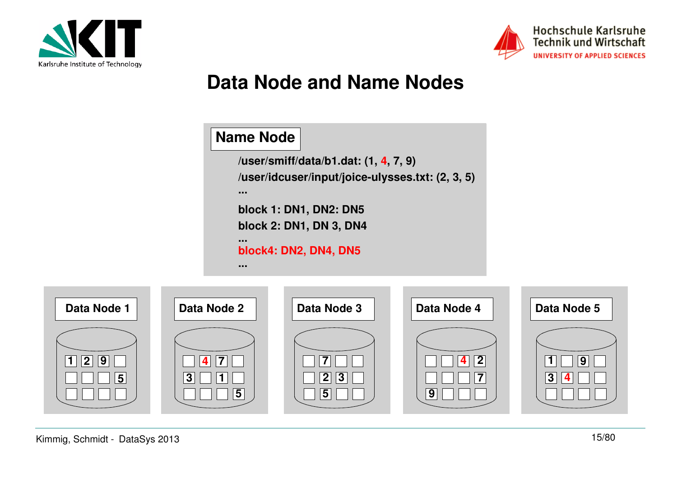



#### **Data Node and Name Nodes**

#### **Name Node**

**/user/smiff/data/b1.dat: (1, 4, 7, 9)/user/idcuser/input/joice-ulysses.txt: (2, 3, 5)block 1: DN1, DN2: DN5 block 2: DN1, DN 3, DN4... block4: DN2, DN4, DN5......**

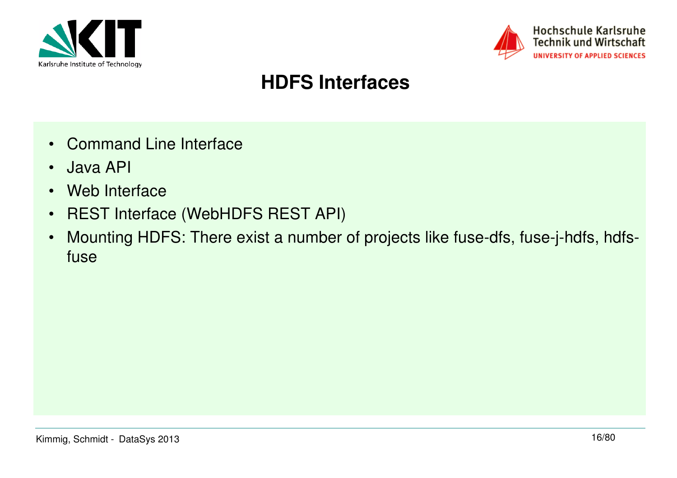



#### **HDFS Interfaces**

- Command Line Interface
- •Java API
- •Web Interface
- •REST Interface (WebHDFS REST API)
- • Mounting HDFS: There exist a number of projects like fuse-dfs, fuse-j-hdfs, hdfsfuse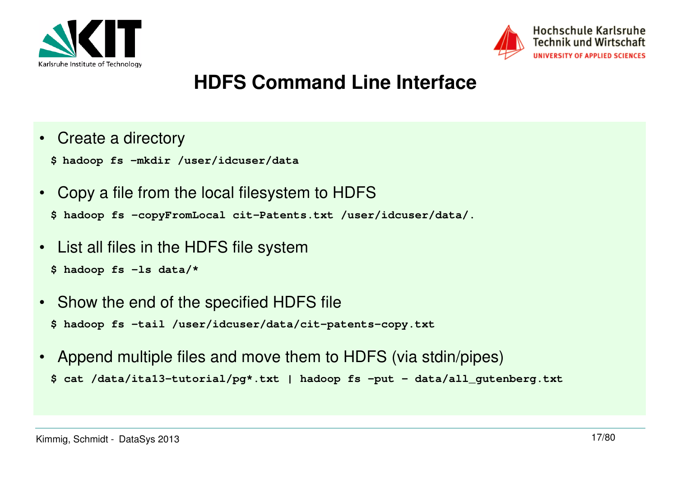



#### **HDFS Command Line Interface**

- Create a directory
	- **\$ hadoop fs -mkdir /user/idcuser/data**
- • Copy a file from the local filesystem to HDFS**\$ hadoop fs -copyFromLocal cit-Patents.txt /user/idcuser/data/.**
- List all files in the HDFS file system
	- **\$ hadoop fs -ls data/\***
- Show the end of the specified HDFS file**\$ hadoop fs -tail /user/idcuser/data/cit-patents-copy.txt**
- • Append multiple files and move them to HDFS (via stdin/pipes)**\$ cat /data/ita13-tutorial/pg\*.txt | hadoop fs -put - data/all\_gutenberg.txt**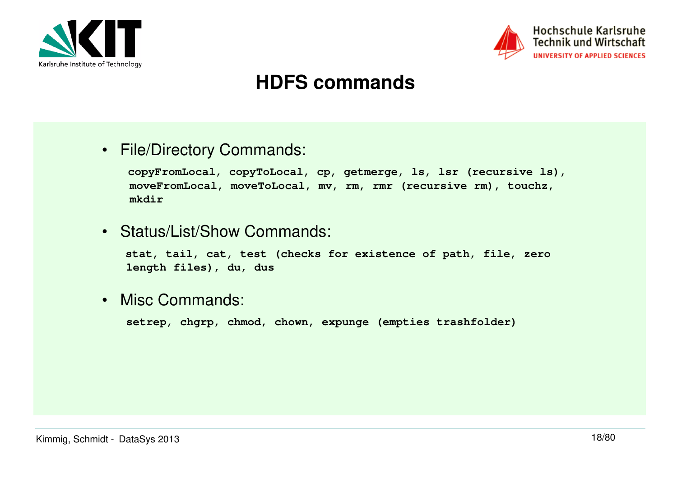



#### **HDFS commands**

• File/Directory Commands:

```
copyFromLocal, copyToLocal, cp, getmerge, ls, lsr (recursive ls), moveFromLocal, moveToLocal, mv, rm, rmr (recursive rm), touchz, mkdir
```
• Status/List/Show Commands:

**stat, tail, cat, test (checks for existence of path, file, zero length files), du, dus**

• Misc Commands:

**setrep, chgrp, chmod, chown, expunge (empties trashfolder)**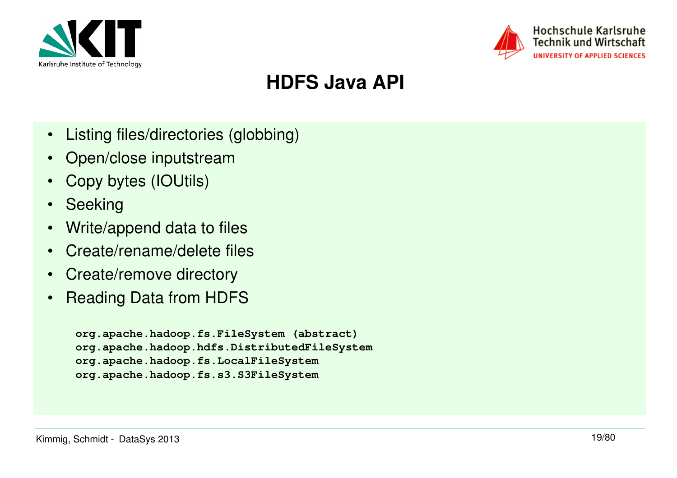



#### **HDFS Java API**

- $\bullet$ Listing files/directories (globbing)
- Open/close inputstream
- Copy bytes (IOUtils)
- Seeking
- Write/append data to files
- $\bullet$ Create/rename/delete files
- $\bullet$ Create/remove directory
- $\bullet$ Reading Data from HDFS

```
org.apache.hadoop.fs.FileSystem (abstract)
org.apache.hadoop.hdfs.DistributedFileSystemorg.apache.hadoop.fs.LocalFileSystem
org.apache.hadoop.fs.s3.S3FileSystem
```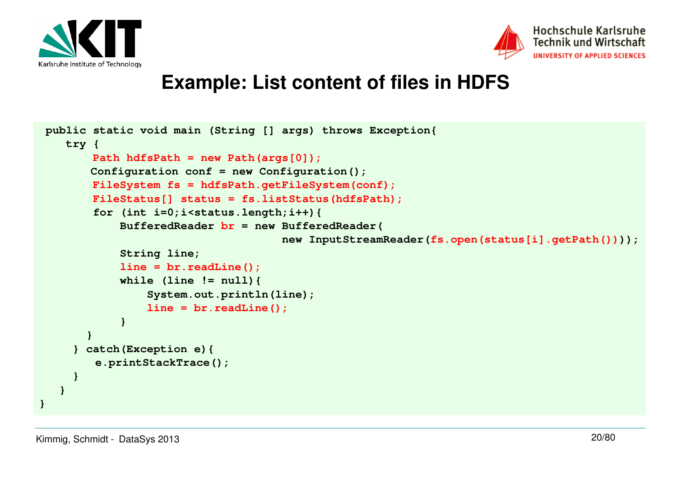



#### **Example: List content of files in HDFS**

```
 public static void main (String [] args) throws Exception{ try {
Path hdfsPath = new Path(args[0]);
 Configuration conf = new Configuration();
FileSystem fs = hdfsPath.getFileSystem(conf);
 FileStatus[] status = fs.listStatus(hdfsPath); for (int i=0;i<status.length;i++){
 BufferedReader br = new BufferedReader(
 new InputStreamReader(fs.open(status[i].getPath()))); String line;
line = br.readLine();
 while (line != null){System.out.println(line);
               line = br.readLine(); } }
} catch(Exception e){
e.printStackTrace();} }}
```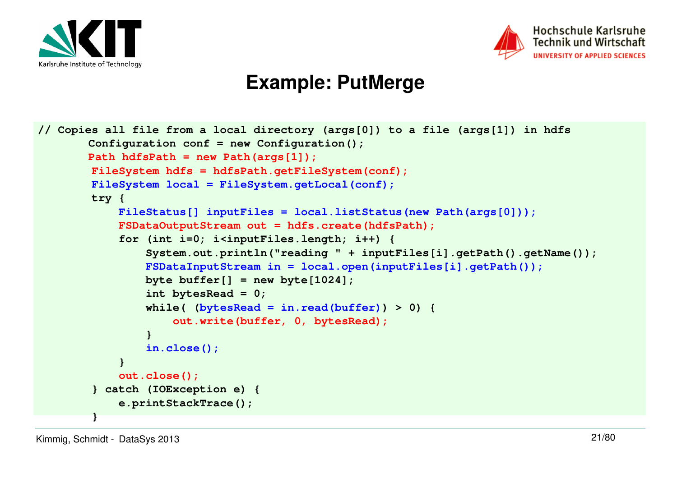



#### **Example: PutMerge**

```
// Copies all file from a local directory (args[0]) to a file (args[1]) in hdfsConfiguration conf = new Configuration();Path hdfsPath = new Path(args[1]);
FileSystem hdfs = hdfsPath.getFileSystem(conf);FileSystem local = FileSystem.getLocal(conf);
        try {
 FileStatus[] inputFiles = local.listStatus(new Path(args[0]));FSDataOutputStream out = hdfs.create(hdfsPath); for (int i=0; i<inputFiles.length; i++) {
 System.out.println("reading " + inputFiles[i].getPath().getName());FSDataInputStream in = local.open(inputFiles[i].getPath()); byte buffer[] = new byte[1024]; int bytesRead = 0;
 while( (bytesRead = in.read(buffer)) > 0) {out.write(buffer, 0, bytesRead); }
 in.close(); }
out.close();
 } catch (IOException e) { e.printStackTrace(); }
```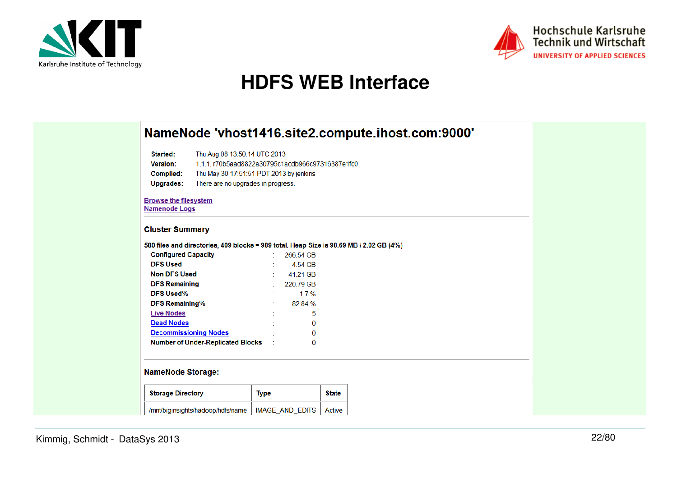



#### **HDFS WEB Interface**

|                                                                                         |                                                                                                                                                                   |                 |              | NameNode 'vhost1416.site2.compute.ihost.com:9000' |  |  |  |  |  |
|-----------------------------------------------------------------------------------------|-------------------------------------------------------------------------------------------------------------------------------------------------------------------|-----------------|--------------|---------------------------------------------------|--|--|--|--|--|
| Started:<br>Version:<br>Compiled:<br>Upgrades:                                          | Thu Aug 08 13:50:14 UTC 2013<br>1.1.1, r70b5aad8822a30795c1acdb966c97316387e1fc0<br>Thu May 30 17:51:51 PDT 2013 by jenkins<br>There are no upgrades in progress. |                 |              |                                                   |  |  |  |  |  |
| <b>Browse the filesystem</b><br><b>Namenode Logs</b>                                    |                                                                                                                                                                   |                 |              |                                                   |  |  |  |  |  |
| <b>Cluster Summary</b>                                                                  |                                                                                                                                                                   |                 |              |                                                   |  |  |  |  |  |
| 580 files and directories, 409 blocks = 989 total. Heap Size is 98.69 MB / 2.02 GB (4%) |                                                                                                                                                                   |                 |              |                                                   |  |  |  |  |  |
| <b>Configured Capacity</b>                                                              |                                                                                                                                                                   | 266.54 GB       |              |                                                   |  |  |  |  |  |
| <b>DFS Used</b>                                                                         |                                                                                                                                                                   | 4.54 GB         |              |                                                   |  |  |  |  |  |
| <b>Non DFS Used</b>                                                                     |                                                                                                                                                                   | 41.21 GB        |              |                                                   |  |  |  |  |  |
| <b>DFS Remaining</b>                                                                    |                                                                                                                                                                   | 220.79 GB       |              |                                                   |  |  |  |  |  |
| <b>DFS Used%</b>                                                                        |                                                                                                                                                                   | 1.7%            |              |                                                   |  |  |  |  |  |
| <b>DFS Remaining%</b>                                                                   |                                                                                                                                                                   | 82.84 %         |              |                                                   |  |  |  |  |  |
| <b>Live Nodes</b>                                                                       |                                                                                                                                                                   | 5               |              |                                                   |  |  |  |  |  |
| <b>Dead Nodes</b>                                                                       |                                                                                                                                                                   | 0               |              |                                                   |  |  |  |  |  |
| <b>Decommissioning Nodes</b>                                                            |                                                                                                                                                                   | 0               |              |                                                   |  |  |  |  |  |
| <b>Number of Under-Replicated Blocks</b>                                                |                                                                                                                                                                   | 0               |              |                                                   |  |  |  |  |  |
| <b>NameNode Storage:</b>                                                                |                                                                                                                                                                   |                 |              |                                                   |  |  |  |  |  |
| <b>Storage Directory</b>                                                                | <b>Type</b>                                                                                                                                                       |                 | <b>State</b> |                                                   |  |  |  |  |  |
| /mnt/biginsights/hadoop/hdfs/name                                                       |                                                                                                                                                                   | IMAGE_AND_EDITS | Active       |                                                   |  |  |  |  |  |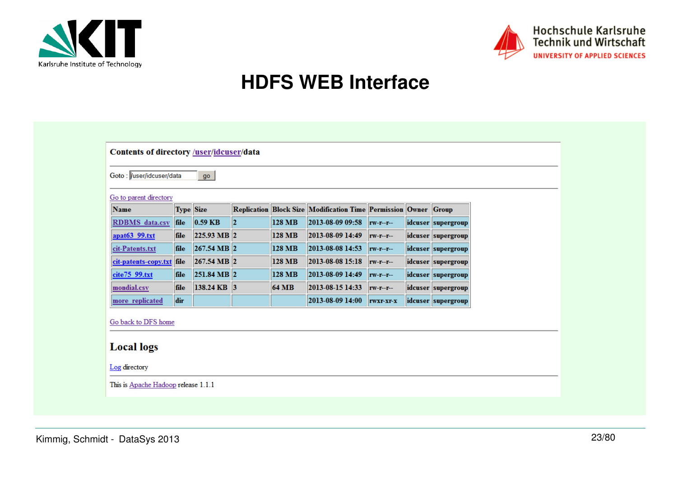



#### **HDFS WEB Interface**

| Goto : Vuser/idcuser/data<br>Go to parent directory |                  | go          |         |               |                                                                 |           |                    |  |
|-----------------------------------------------------|------------------|-------------|---------|---------------|-----------------------------------------------------------------|-----------|--------------------|--|
| Name                                                | <b>Type Size</b> |             |         |               | Replication Block Size Modification Time Permission Owner Group |           |                    |  |
| <b>RDBMS</b> data.csv                               | file             | $0.59$ KB   | $\ 2\ $ | <b>128 MB</b> | 2013-08-09 09:58                                                | $rw-r-r-$ | idcuser supergroup |  |
| apat63 99.txt                                       | file             | 225.93 MB 2 |         | <b>128 MB</b> | 2013-08-09 14:49                                                | $rw-r-r-$ | idcuser supergroup |  |
| cit-Patents.txt                                     | file             | 267.54 MB 2 |         | <b>128 MB</b> | 2013-08-08 14:53                                                | $rw-r-r-$ | idcuser supergroup |  |
| cit-patents-copy.txt file                           |                  | 267.54 MB 2 |         | <b>128 MB</b> | 2013-08-08 15:18                                                | $rw-r-r-$ | idcuser supergroup |  |
| cite75 99.txt                                       | file             | 251.84 MB 2 |         | <b>128 MB</b> | 2013-08-09 14:49                                                | $rw-r-r-$ | idcuser supergroup |  |
| mondial.csv                                         | file             | 138.24 KB 3 |         | <b>64 MB</b>  | 2013-08-15 14:33                                                | $rw-r-r-$ | idcuser supergroup |  |
| more replicated                                     | dir              |             |         |               | 2013-08-09 14:00                                                | rwxr-xr-x | idcuser supergroup |  |
| Go back to DFS home<br><b>Local logs</b>            |                  |             |         |               |                                                                 |           |                    |  |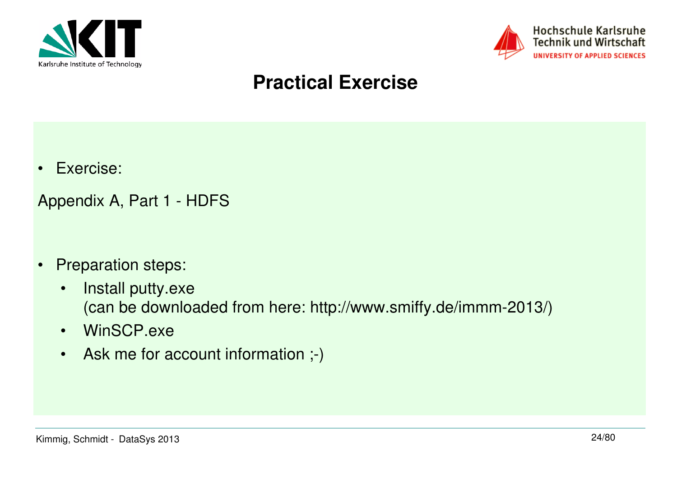



#### **Practical Exercise**

•Exercise:

Appendix A, Part 1 - HDFS

- $\bullet$  Preparation steps:
	- • Install putty.exe (can be downloaded from here: http://www.smiffy.de/immm-2013/)
	- WinSCP.exe
	- Ask me for account information ;-)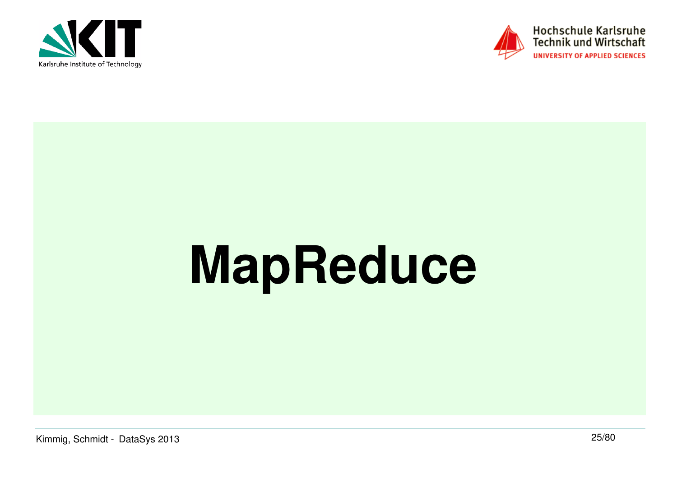



# **MapReduce**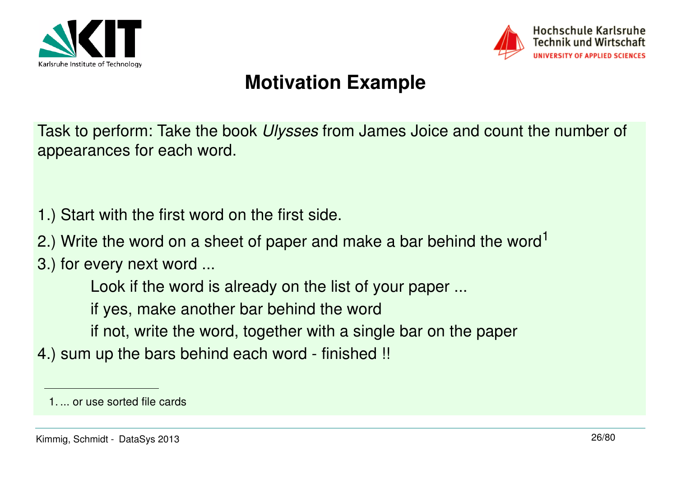



Task to perform: Take the book Ulysses from James Joice and count the number of appearances for each word.

- 1.) Start with the first word on the first side.
- 2.) Write the word on a sheet of paper and make a bar behind the word<sup>1</sup>

3.) for every next word ...

Look if the word is already on the list of your paper ...

if yes, make another bar behind the word

- if not, write the word, together with a single bar on the paper
- 4.) sum up the bars behind each word finished !!

<sup>1.</sup> ... or use sorted file cards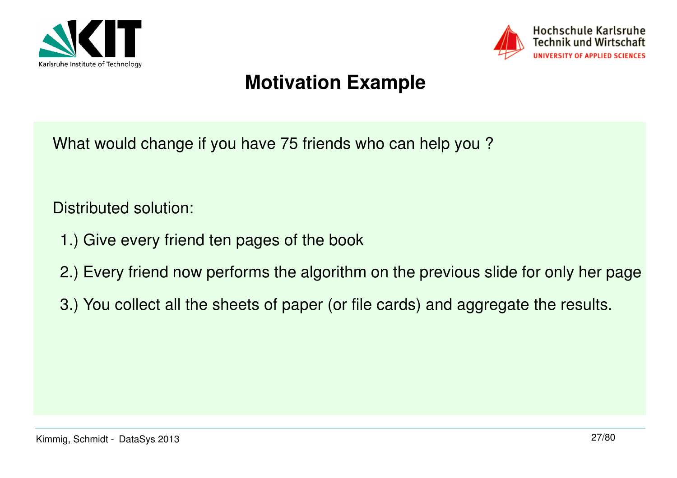



What would change if you have 75 friends who can help you ?

Distributed solution:

- 1.) Give every friend ten pages of the book
- 2.) Every friend now performs the algorithm on the previous slide for only her page
- 3.) You collect all the sheets of paper (or file cards) and aggregate the results.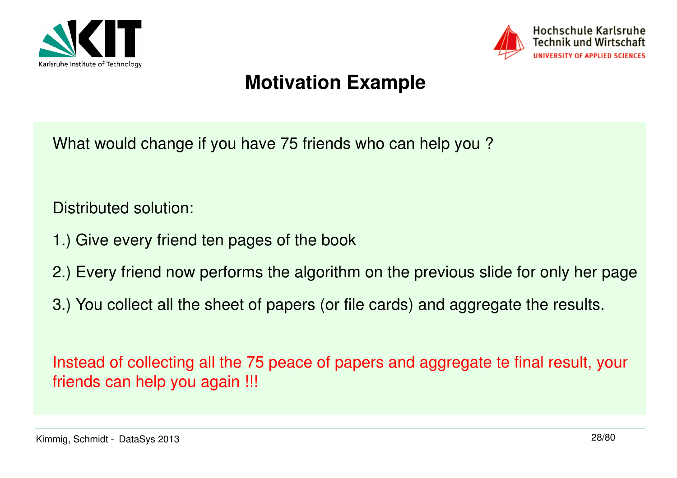



What would change if you have 75 friends who can help you ?

Distributed solution:

- 1.) Give every friend ten pages of the book
- 2.) Every friend now performs the algorithm on the previous slide for only her page
- 3.) You collect all the sheet of papers (or file cards) and aggregate the results.

Instead of collecting all the 75 peace of papers and aggregate te final result, your friends can help you again !!!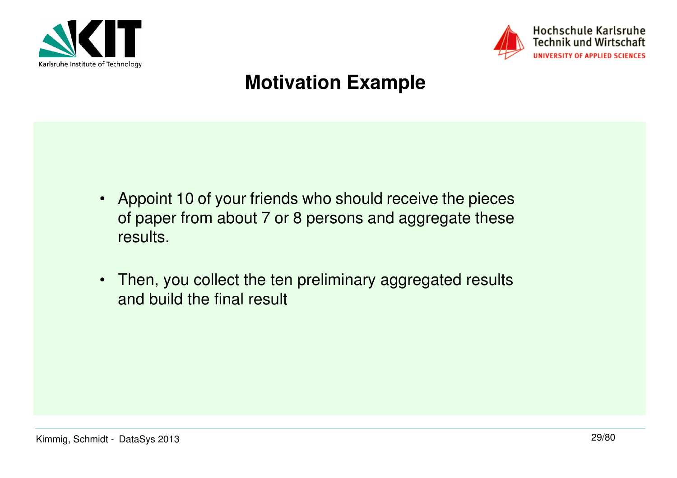



- Appoint 10 of your friends who should receive the pieces of paper from about 7 or 8 persons and aggregate these results.
- Then, you collect the ten preliminary aggregated results and build the final result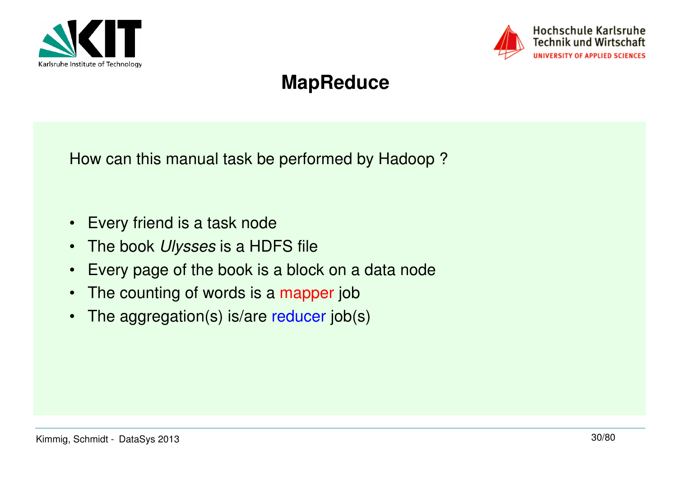



#### **MapReduce**

How can this manual task be performed by Hadoop ?

- $\bullet$ Every friend is a task node
- •The book Ulysses is a HDFS file
- Every page of the book is a block on a data node
- $\bullet$ The counting of words is a mapper job
- •The aggregation(s) is/are reducer job(s)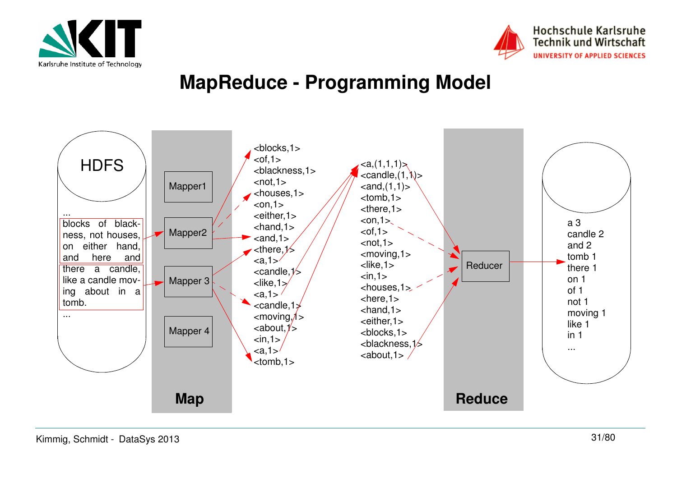



#### **MapReduce - Programming Model**

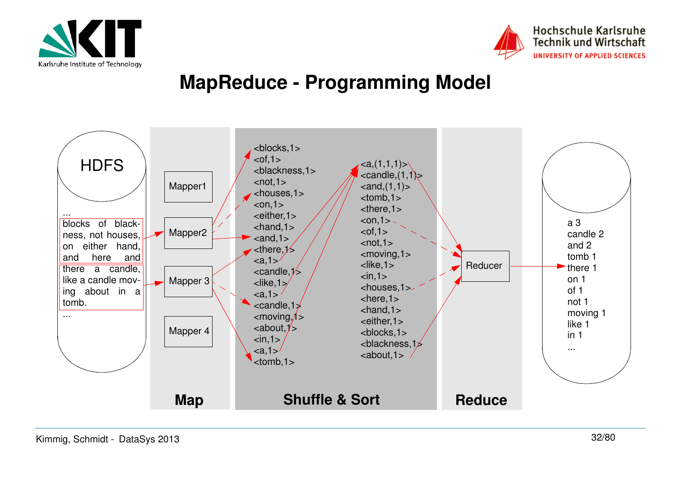



#### **MapReduce - Programming Model**

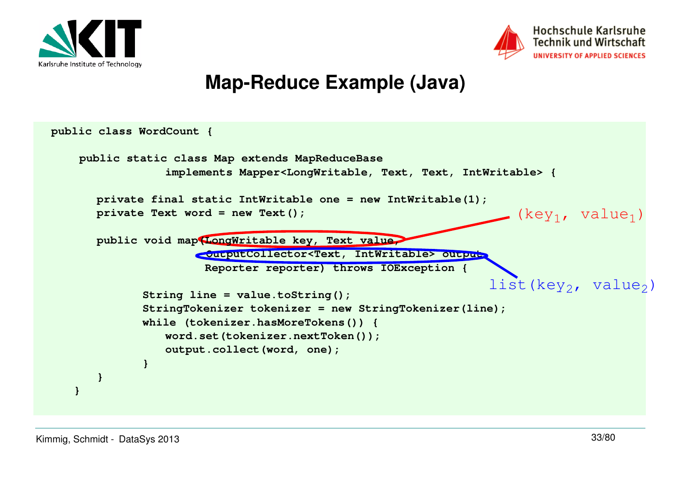



#### **Map-Reduce Example (Java)**

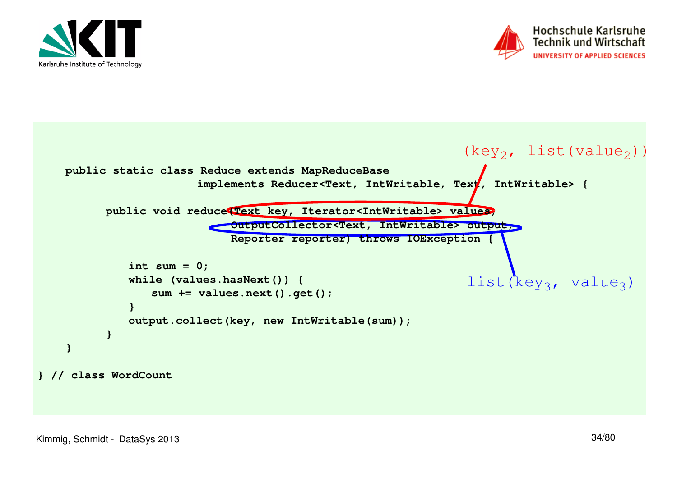



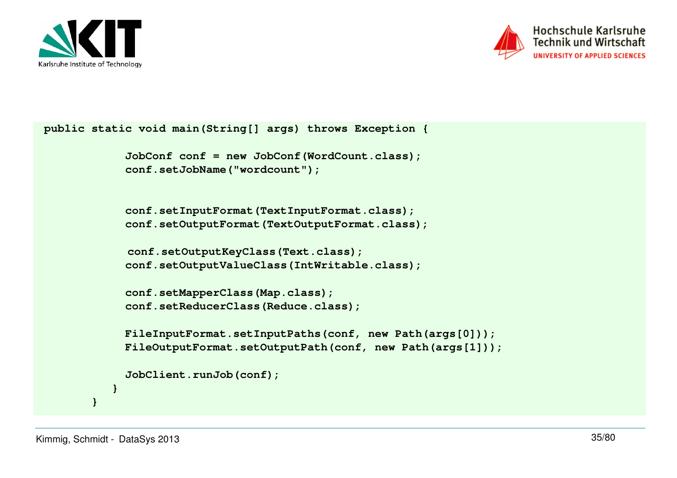



```
 public static void main(String[] args) throws Exception {
```

```
 JobConf conf = new JobConf(WordCount.class); conf.setJobName("wordcount");
```

```
 conf.setInputFormat(TextInputFormat.class);
 conf.setOutputFormat(TextOutputFormat.class);
```

```
conf.setOutputKeyClass(Text.class);
 conf.setOutputValueClass(IntWritable.class);
```

```
 conf.setMapperClass(Map.class);Example 2.5 conf.setReducerClass(Reduce.class);
```

```
 FileInputFormat.setInputPaths(conf, new Path(args[0]));
 FileOutputFormat.setOutputPath(conf, new Path(args[1]));
```

```
 JobClient.runJob(conf);
```
 **}**

 **}**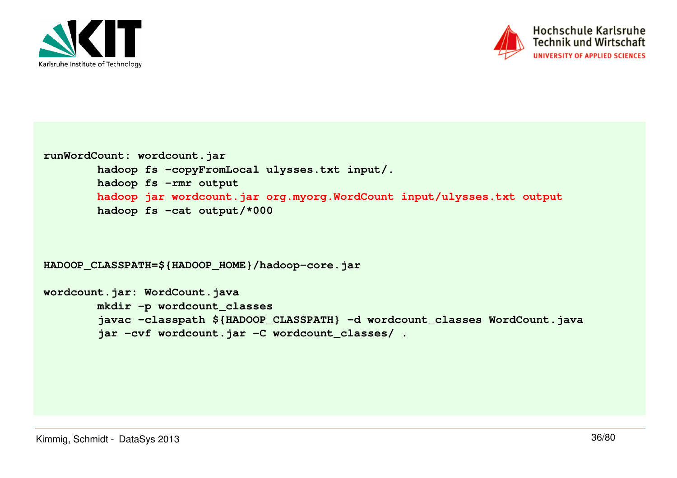



```
runWordCount: wordcount.jar
 hadoop fs -copyFromLocal ulysses.txt input/. hadoop fs -rmr output
 hadoop jar wordcount.jar org.myorg.WordCount input/ulysses.txt output hadoop fs -cat output/*000
```

```
HADOOP_CLASSPATH=${HADOOP_HOME}/hadoop-core.jar
```

```
wordcount.jar: WordCount.java
 mkdir -p wordcount_classes
 javac -classpath ${HADOOP_CLASSPATH} -d wordcount_classes WordCount.java jar -cvf wordcount.jar -C wordcount_classes/ .
```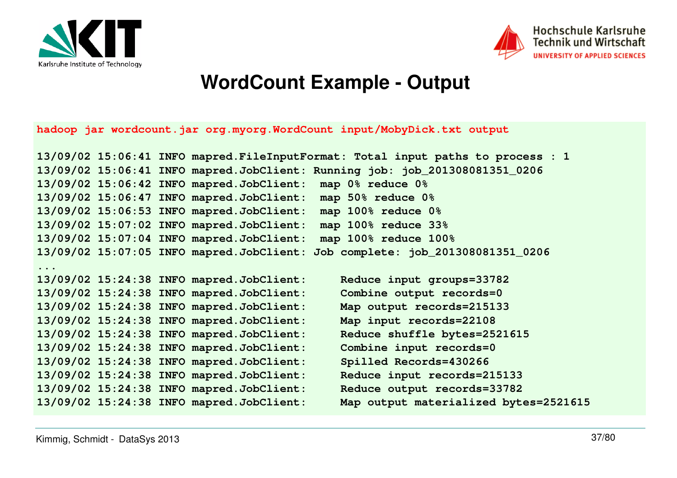



#### **WordCount Example - Output**

**hadoop jar wordcount.jar org.myorg.WordCount input/MobyDick.txt output**

```
13/09/02 15:06:41 INFO mapred.FileInputFormat: Total input paths to process : 113/09/02 15:06:41 INFO mapred.JobClient: Running job: job_201308081351_020613/09/02 15:06:42 INFO mapred.JobClient: map 0% reduce 0%
13/09/02 15:06:47 INFO mapred.JobClient: map 50% reduce 0%
13/09/02 15:06:53 INFO mapred.JobClient: map 100% reduce 0%map 100% reduce 33%
13/09/02 15:07:02 INFO mapred.JobClient:
                                          map 100% reduce 100%
13/09/02 15:07:04 INFO mapred.JobClient: map 100% reduce 100%
13/09/02 15:07:05 INFO mapred.JobClient: Job complete: job_201308081351_0206...
13/09/02 15:24:38 INFO mapred.JobClient: Reduce input groups=33782Combine output records=0
13/09/02 15:24:38 INFO mapred.JobClient:
                                             Map output records=215133
13/09/02 15:24:38 INFO mapred.JobClient:
13/09/02 15:24:38 INFO mapred.JobClient: Map input records=22108Reduce shuffle bytes=2521615
13/09/02 15:24:38 INFO mapred.JobClient:
13/09/02 15:24:38 INFO mapred.JobClient: Combine input records=0Spilled Records=430266
13/09/02 15:24:38 INFO mapred.JobClient:
                                             Reduce input records=215133
13/09/02 15:24:38 INFO mapred.JobClient:
                                             Reduce output records=33782
13/09/02 15:24:38 INFO mapred.JobClient:
                                             Map output materialized bytes=2521615
13/09/02 15:24:38 INFO mapred.JobClient:
```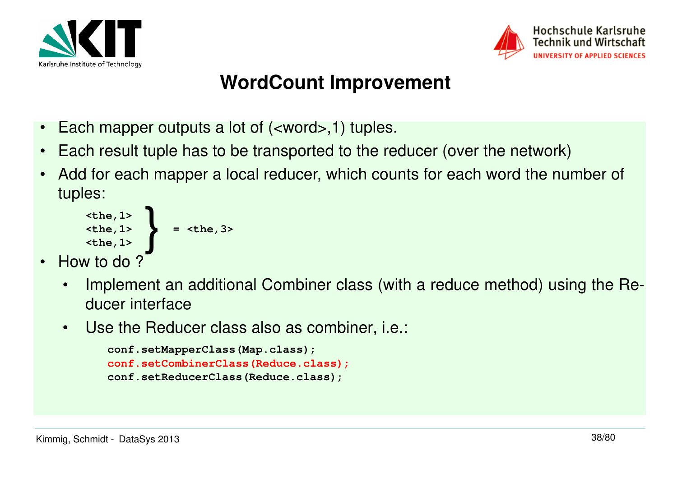



# **WordCount Improvement**

- •Each mapper outputs a lot of (<word>,1) tuples.
- •Each result tuple has to be transported to the reducer (over the network)
- • Add for each mapper a local reducer, which counts for each word the number of tuples:

$$
\left\{\n \begin{array}{c}\n \text{the, 1>}\n \text{the, 1>}\n \text{the, 1>}\n \end{array}\n \right.\n = \text{the, 3>}
$$

- •How to do?
	- • Implement an additional Combiner class (with a reduce method) using the Reducer interface
	- •Use the Reducer class also as combiner, i.e.:

```
conf.setMapperClass(Map.class);
conf.setCombinerClass(Reduce.class);conf.setReducerClass(Reduce.class);
```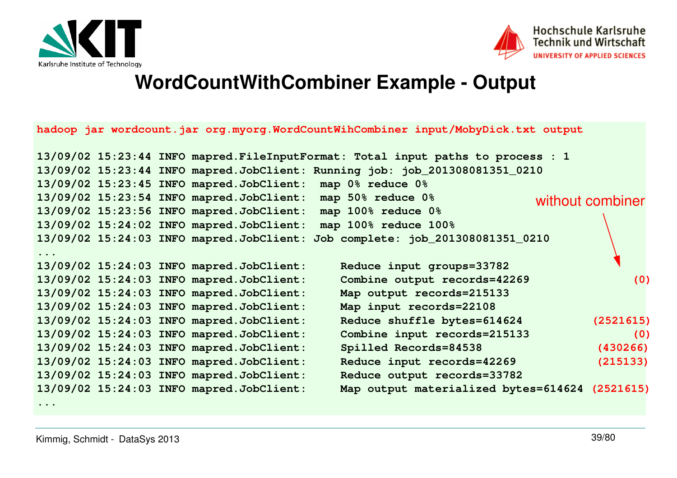



#### **WordCountWithCombiner Example - Output**

|  |                                          | hadoop jar wordcount.jar org.myorg.WordCountWihCombiner input/MobyDick.txt output |                  |
|--|------------------------------------------|-----------------------------------------------------------------------------------|------------------|
|  |                                          | 13/09/02 15:23:44 INFO mapred. FileInputFormat: Total input paths to process : 1  |                  |
|  |                                          | 13/09/02 15:23:44 INFO mapred.JobClient: Running job: job_201308081351_0210       |                  |
|  |                                          | 13/09/02 15:23:45 INFO mapred.JobClient: map 0% reduce 0%                         |                  |
|  |                                          | 13/09/02 15:23:54 INFO mapred.JobClient: map 50% reduce 0%                        | without combiner |
|  |                                          | 13/09/02 15:23:56 INFO mapred.JobClient: map 100% reduce 0%                       |                  |
|  |                                          | 13/09/02 15:24:02 INFO mapred. JobClient: map 100% reduce 100%                    |                  |
|  |                                          | 13/09/02 15:24:03 INFO mapred.JobClient: Job complete: job_201308081351_0210      |                  |
|  | 13/09/02 15:24:03 INFO mapred.JobClient: | Reduce input groups=33782                                                         |                  |
|  | 13/09/02 15:24:03 INFO mapred.JobClient: | Combine output records=42269                                                      | (0)              |
|  | 13/09/02 15:24:03 INFO mapred.JobClient: | Map output records=215133                                                         |                  |
|  | 13/09/02 15:24:03 INFO mapred.JobClient: | Map input records=22108                                                           |                  |
|  | 13/09/02 15:24:03 INFO mapred.JobClient: | Reduce shuffle bytes=614624                                                       | (2521615)        |
|  | 13/09/02 15:24:03 INFO mapred.JobClient: | Combine input records=215133                                                      | (0)              |
|  | 13/09/02 15:24:03 INFO mapred.JobClient: | Spilled Records=84538                                                             | (430266)         |
|  | 13/09/02 15:24:03 INFO mapred.JobClient: | Reduce input records=42269                                                        | (215133)         |
|  | 13/09/02 15:24:03 INFO mapred.JobClient: | Reduce output records=33782                                                       |                  |
|  | 13/09/02 15:24:03 INFO mapred.JobClient: | Map output materialized bytes=614624 (2521615)                                    |                  |

**...**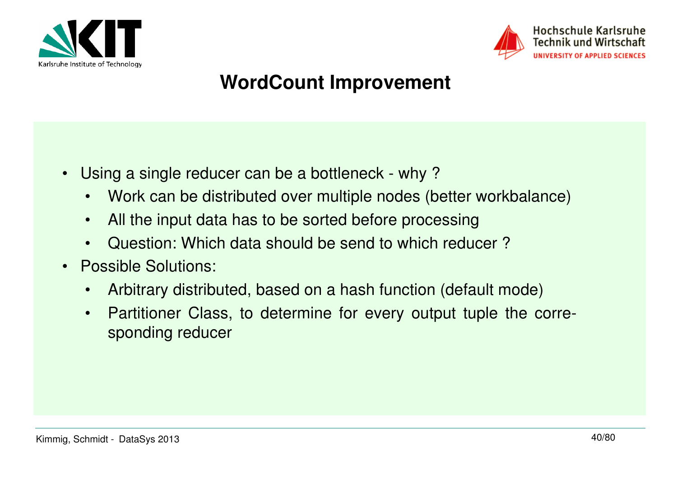



# **WordCount Improvement**

- • Using a single reducer can be a bottleneck - why ?
	- •Work can be distributed over multiple nodes (better workbalance)
	- •All the input data has to be sorted before processing
	- •Question: Which data should be send to which reducer ?
- Possible Solutions:
	- •Arbitrary distributed, based on a hash function (default mode)
	- • Partitioner Class, to determine for every output tuple the corresponding reducer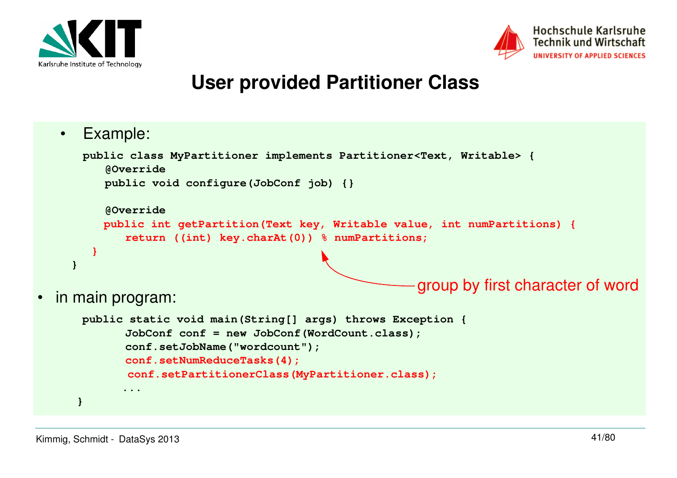



#### **User provided Partitioner Class**

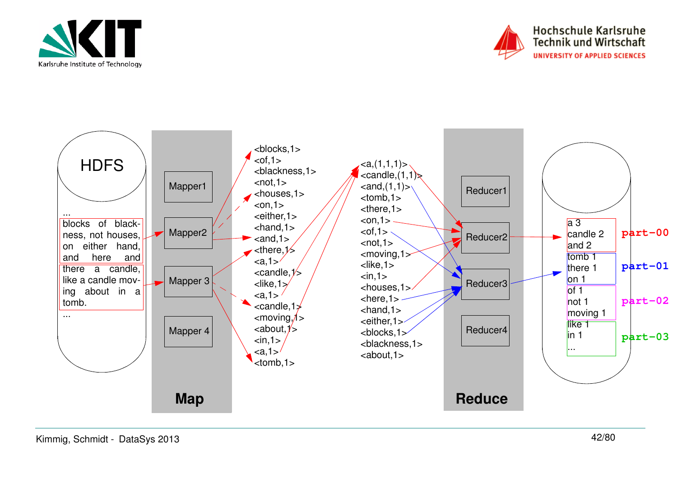



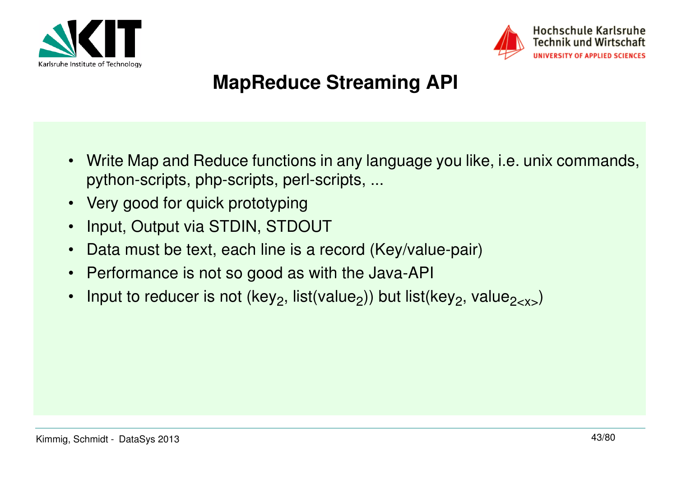



# **MapReduce Streaming API**

- • Write Map and Reduce functions in any language you like, i.e. unix commands, python-scripts, php-scripts, perl-scripts, ...
- Very good for quick prototyping
- •Input, Output via STDIN, STDOUT
- •Data must be text, each line is a record (Key/value-pair)
- •Performance is not so good as with the Java-API
- •Input to reducer is not (key<sub>2</sub>, list(value<sub>2</sub>)) but list(key<sub>2</sub>, value<sub>2-x></sub>)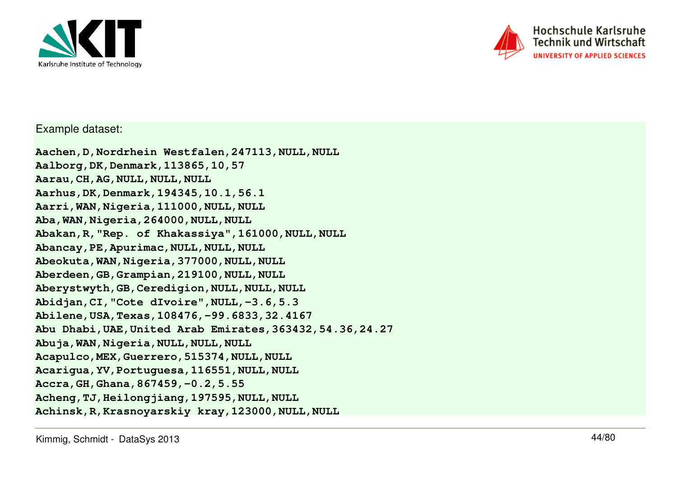



Example dataset:

**Aachen,D,Nordrhein Westfalen,247113,NULL,NULLAalborg,DK,Denmark,113865,10,57Aarau,CH,AG,NULL,NULL,NULL Aarhus,DK,Denmark,194345,10.1,56.1 Aarri,WAN,Nigeria,111000,NULL,NULL**Aba, WAN, Nigeria, 264000, NULL, NULL **Abakan,R,"Rep. of Khakassiya",161000,NULL,NULLAbancay,PE,Apurimac,NULL,NULL,NULL Abeokuta,WAN,Nigeria,377000,NULL,NULL Aberdeen,GB,Grampian,219100,NULL,NULL Aberystwyth,GB,Ceredigion,NULL,NULL,NULL Abidjan,CI,"Cote dIvoire",NULL,-3.6,5.3 Abilene,USA,Texas,108476,-99.6833,32.4167 Abu Dhabi,UAE,United Arab Emirates,363432,54.36,24.27Abuja,WAN,Nigeria,NULL,NULL,NULL Acapulco,MEX,Guerrero,515374,NULL,NULL Acarigua,YV,Portuguesa,116551,NULL,NULLAccra,GH,Ghana,867459,-0.2,5.55 Acheng,TJ,Heilongjiang,197595,NULL,NULLAchinsk,R,Krasnoyarskiy kray,123000,NULL,NULL**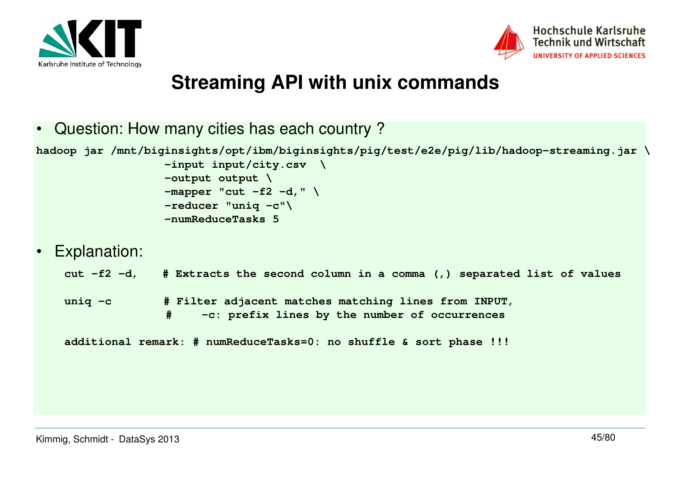



#### **Streaming API with unix commands**

•Question: How many cities has each country ?

**hadoop jar /mnt/biginsights/opt/ibm/biginsights/pig/test/e2e/pig/lib/hadoop-streaming.jar \**

 **-input input/city.csv \ -output output \ -mapper "cut -f2 -d," \ -reducer "uniq -c"\**

- **-numReduceTasks 5**
- •Explanation:

**cut -f2 -d, # Extracts the second column in a comma (,) separated list of values**

uniq -c  $\qquad$  **# Filter adjacent matches matching lines from INPUT,**<br>  $\qquad$  -c: prefix lines by the number of occurrences **# -c: prefix lines by the number of occurrences**

**additional remark: # numReduceTasks=0: no shuffle & sort phase !!!**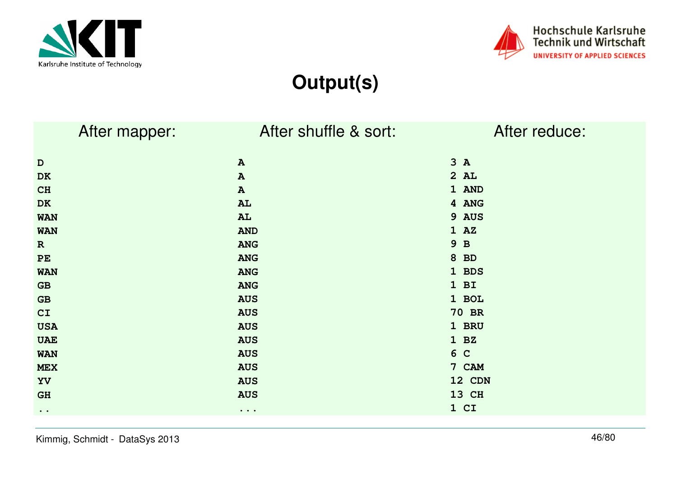



# **Output(s)**

| After mapper:       | After shuffle & sort:             | After reduce: |
|---------------------|-----------------------------------|---------------|
| $\mathbf D$         | $\, {\bf A}$                      | 3A            |
| DK                  | ${\bf A}$                         | 2AL           |
| CH                  | $\, {\bf A}$                      | 1 AND         |
| DK                  | AL                                | 4 ANG         |
| <b>WAN</b>          | AL                                | 9 AUS         |
| <b>WAN</b>          | <b>AND</b>                        | $1 \tA2$      |
| $\mathbf R$         | <b>ANG</b>                        | 9 B           |
| PE                  | <b>ANG</b>                        | 8 BD          |
| <b>WAN</b>          | <b>ANG</b>                        | 1 BDS         |
| GB                  | <b>ANG</b>                        | $1$ BI        |
| GB                  | <b>AUS</b>                        | 1 BOL         |
| CI                  | <b>AUS</b>                        | <b>70 BR</b>  |
| <b>USA</b>          | <b>AUS</b>                        | 1 BRU         |
| <b>UAE</b>          | <b>AUS</b>                        | 1 BZ          |
| <b>WAN</b>          | <b>AUS</b>                        | 6 C           |
| <b>MEX</b>          | <b>AUS</b>                        | 7 CAM         |
| YV                  | <b>AUS</b>                        | 12 CDN        |
| <b>GH</b>           | <b>AUS</b>                        | 13 CH         |
| $\bullet$ $\bullet$ | $\bullet\quad\bullet\quad\bullet$ | 1 CI          |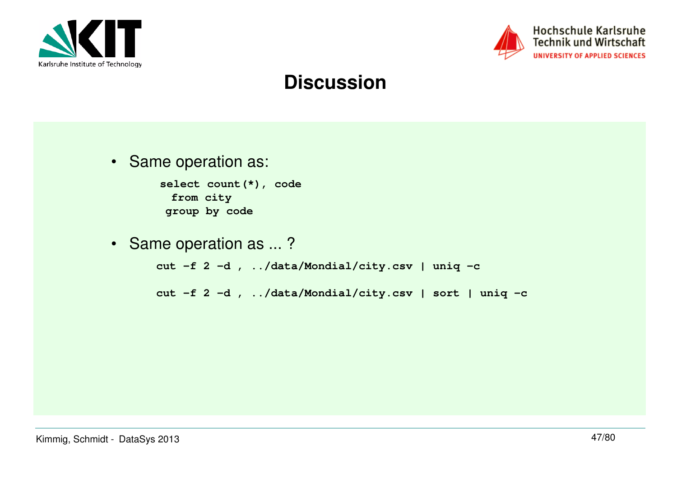



#### **Discussion**

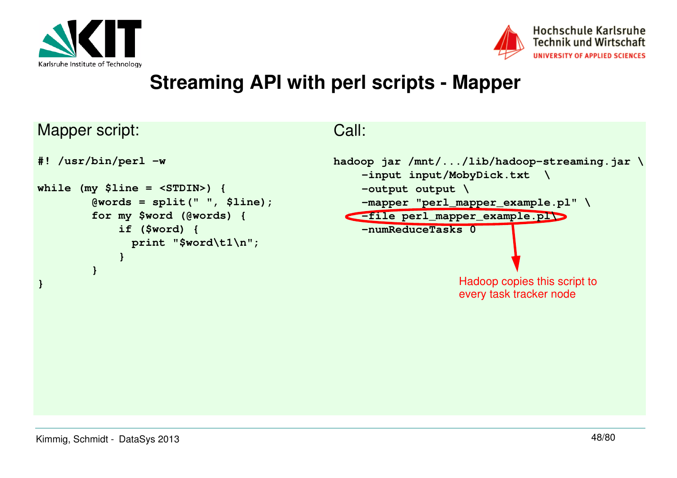



#### **Streaming API with perl scripts - Mapper**

Mapper script:

```
#! /usr/bin/perl -wwhile (my $line = <STDIN>) {
 @words = split(" ", $line); for my $word (@words) { if ($word) {
 print "$word\t1\n"; } }}
```
Call:

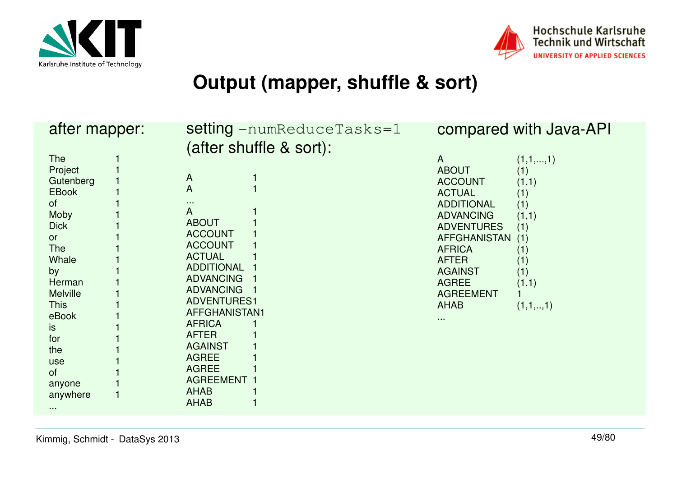



#### **Output (mapper, shuffle & sort)**

| after mapper:                                                                                                                                                                                                                                               | <b>setting</b> $-$ numReduceTasks=1<br>(after shuffle & sort):                                                                                                                                                                                                                                                                                                             | compared with Java-API                                                                                                                                                                                                                                                                                                                                                            |
|-------------------------------------------------------------------------------------------------------------------------------------------------------------------------------------------------------------------------------------------------------------|----------------------------------------------------------------------------------------------------------------------------------------------------------------------------------------------------------------------------------------------------------------------------------------------------------------------------------------------------------------------------|-----------------------------------------------------------------------------------------------------------------------------------------------------------------------------------------------------------------------------------------------------------------------------------------------------------------------------------------------------------------------------------|
| <b>The</b><br>Project<br>Gutenberg<br><b>EBook</b><br><b>of</b><br>Moby<br><b>Dick</b><br>or<br><b>The</b><br><b>Whale</b><br>by<br>Herman<br><b>Melville</b><br><b>This</b><br>eBook<br>is.<br>for<br>the<br>use<br>of<br>anyone<br>anywhere<br>$\sim 100$ | $\overline{A}$<br>$\overline{A}$<br>$\cdots$<br>$\mathsf{A}$<br><b>ABOUT</b><br><b>ACCOUNT</b><br><b>ACCOUNT</b><br><b>ACTUAL</b><br><b>ADDITIONAL</b><br><b>ADVANCING</b><br><b>ADVANCING</b><br><b>ADVENTURES1</b><br>AFFGHANISTAN1<br><b>AFRICA</b><br><b>AFTER</b><br><b>AGAINST</b><br><b>AGREE</b><br><b>AGREE</b><br><b>AGREEMENT</b><br><b>AHAB</b><br><b>AHAB</b> | (1,1,,1)<br>$\mathsf{A}$<br><b>ABOUT</b><br>(1)<br><b>ACCOUNT</b><br>(1,1)<br><b>ACTUAL</b><br>(1)<br><b>ADDITIONAL</b><br>(1)<br><b>ADVANCING</b><br>(1,1)<br><b>ADVENTURES</b><br>(1)<br><b>AFFGHANISTAN</b><br>(1)<br><b>AFRICA</b><br>(1)<br><b>AFTER</b><br>(1)<br>(1)<br><b>AGAINST</b><br><b>AGREE</b><br>(1,1)<br><b>AGREEMENT</b><br><b>AHAB</b><br>(1,1,,1)<br>$\cdots$ |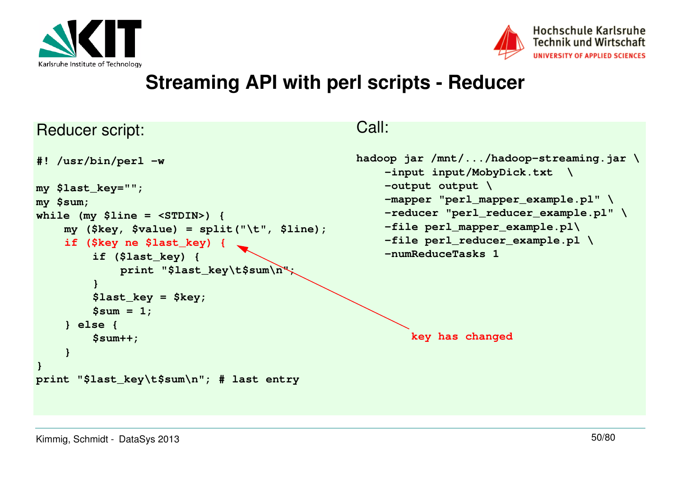



#### **Streaming API with perl scripts - Reducer**

Call:

#### Reducer script:

```
#! /usr/bin/perl -wmy $last_key="";my $sum;
while (my $line = <STDIN>) {
my ($key, $value) = split("\t", $line);if ($key ne $last_key) {if ($last_key) {
print "$last_key\t$sum\n";}
$last_key = $key;$sum = 1;} else {
$sum++;}}
print "$last_key\t$sum\n"; # last entryhadoop jar /mnt/.../hadoop-streaming.jar \-input input/MobyDick.txt \-output output \
-mapper "perl_mapper_example.pl" \
-reducer "perl_reducer_example.pl" \-file perl_mapper_example.pl\
-file perl_reducer_example.pl \-numReduceTasks 1key has changed
```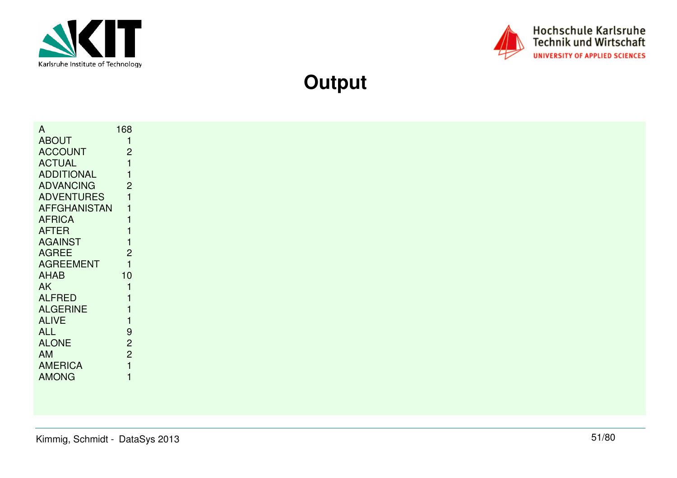



**Output**

| $\mathsf{A}$        | 168            |
|---------------------|----------------|
| <b>ABOUT</b>        |                |
| <b>ACCOUNT</b>      | $\overline{2}$ |
| <b>ACTUAL</b>       |                |
| <b>ADDITIONAL</b>   |                |
| <b>ADVANCING</b>    | 2              |
| <b>ADVENTURES</b>   |                |
| <b>AFFGHANISTAN</b> |                |
| <b>AFRICA</b>       |                |
| <b>AFTER</b>        |                |
| <b>AGAINST</b>      |                |
| <b>AGREE</b>        | 2              |
| <b>AGREEMENT</b>    |                |
| <b>AHAB</b>         | 10             |
| AK                  |                |
| <b>ALFRED</b>       |                |
| <b>ALGERINE</b>     |                |
| <b>ALIVE</b>        |                |
| ALL                 | 9              |
| <b>ALONE</b>        | $\overline{c}$ |
| AM                  | $\overline{c}$ |
| <b>AMERICA</b>      |                |
| <b>AMONG</b>        |                |
|                     |                |
|                     |                |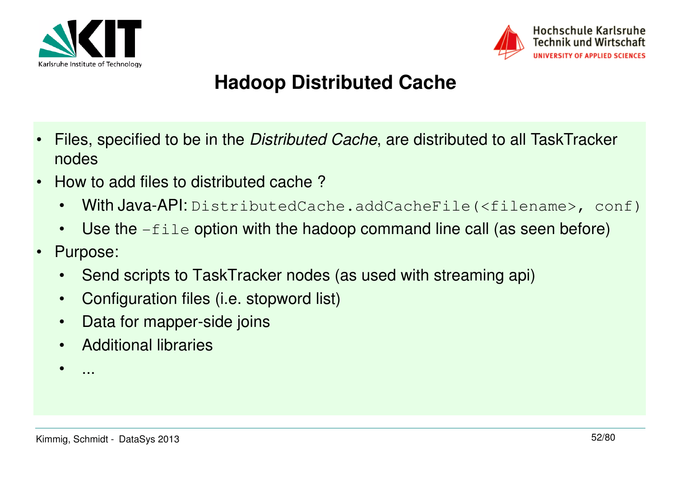



# **Hadoop Distributed Cache**

- • Files, specified to be in the Distributed Cache, are distributed to all TaskTracker nodes
- • How to add files to distributed cache ?
	- •With Java-API: DistributedCache.addCacheFile(<filename>, conf)
	- •Use the  $-file$  option with the hadoop command line call (as seen before)
- • Purpose:
	- •Send scripts to TaskTracker nodes (as used with streaming api)
	- •Configuration files (i.e. stopword list)
	- $\bullet$ Data for mapper-side joins
	- •Additional libraries
	- •...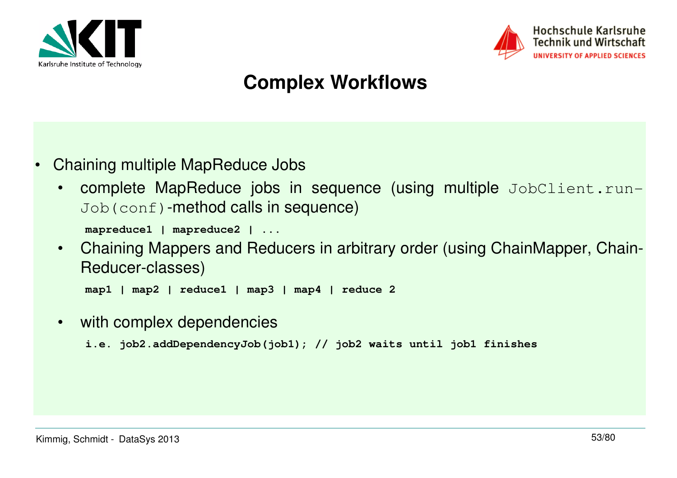



# **Complex Workflows**

- • Chaining multiple MapReduce Jobs
	- •complete MapReduce jobs in sequence (using multiple JobClient.run-Job(conf)-method calls in sequence)

```
mapreduce1 | mapreduce2 | ...
```
 Chaining Mappers and Reducers in arbitrary order (using ChainMapper, Chain-•Reducer-classes)

```
map1 | map2 | reduce1 | map3 | map4 | reduce 2
```
•with complex dependencies

```
i.e. job2.addDependencyJob(job1); // job2 waits until job1 finishes
```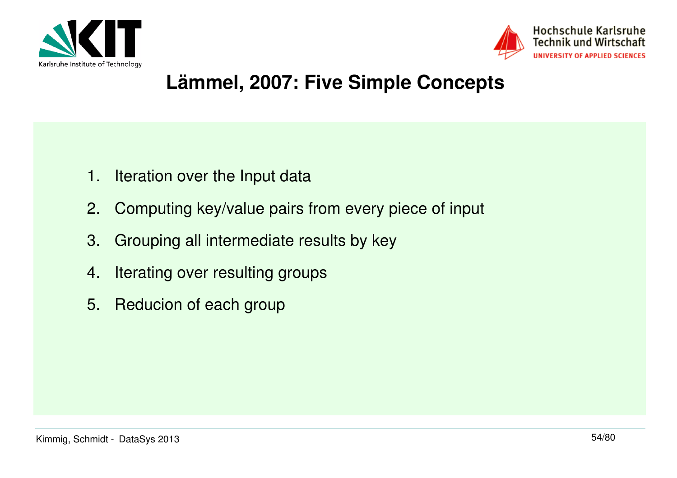



#### **Lämmel, 2007: Five Simple Concepts**

- 1. Iteration over the Input data
- 2. Computing key/value pairs from every piece of input
- 3. Grouping all intermediate results by key
- 4. Iterating over resulting groups
- 5. Reducion of each group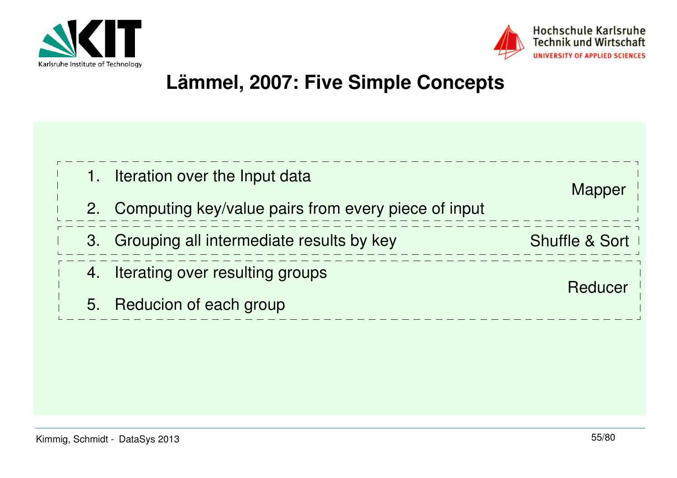



#### **Lämmel, 2007: Five Simple Concepts**

| 1. | Iteration over the Input data                       | Mapper         |
|----|-----------------------------------------------------|----------------|
| 2. | Computing key/value pairs from every piece of input |                |
|    | 3. Grouping all intermediate results by key         | Shuffle & Sort |
| 4. | Iterating over resulting groups                     | Reducer        |
| 5. | Reducion of each group                              |                |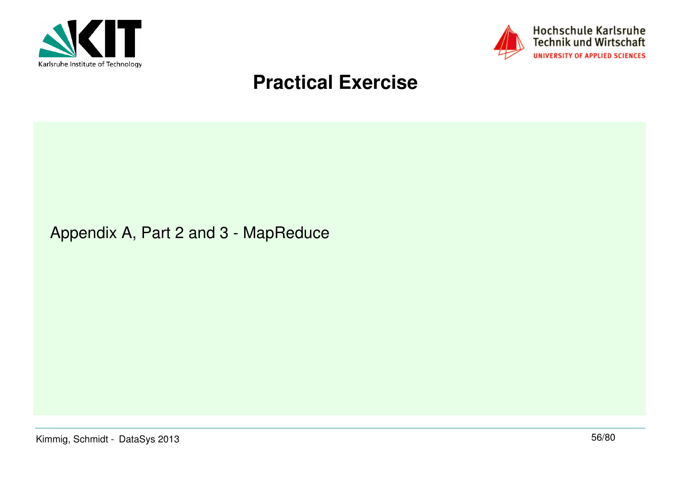



#### **Practical Exercise**

#### Appendix A, Part 2 and 3 - MapReduce

Kimmig, Schmidt - DataSys 2013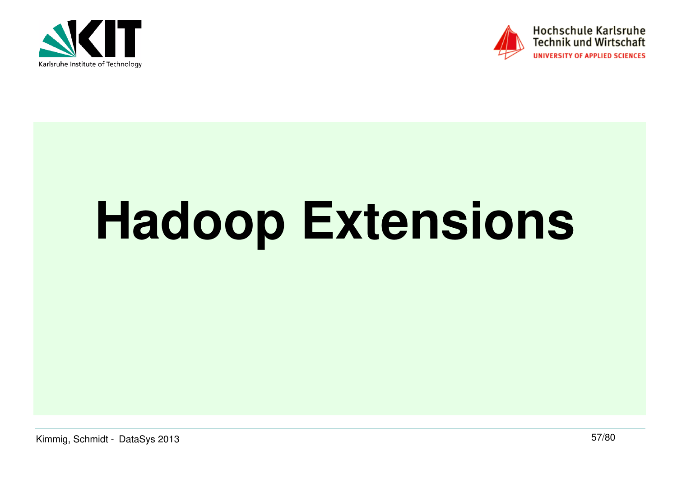



# **Hadoop Extensions**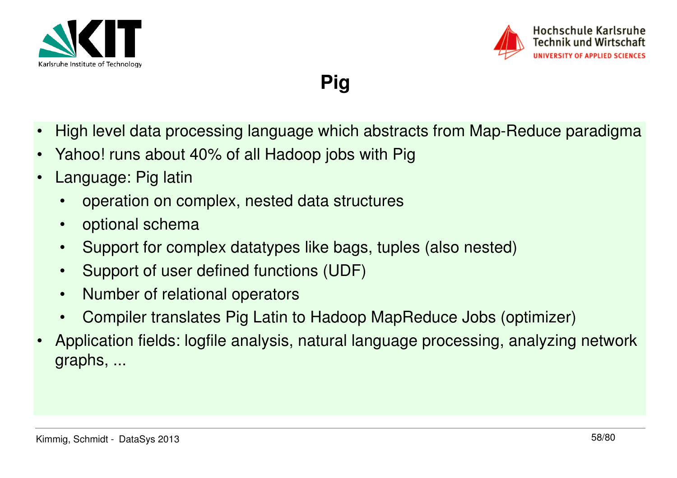



**Pig**

- •High level data processing language which abstracts from Map-Reduce paradigma
- •Yahoo! runs about 40% of all Hadoop jobs with Pig
- • Language: Pig latin
	- •operation on complex, nested data structures
	- •optional schema
	- •Support for complex datatypes like bags, tuples (also nested)
	- •Support of user defined functions (UDF)
	- •Number of relational operators
	- •Compiler translates Pig Latin to Hadoop MapReduce Jobs (optimizer)
- • Application fields: logfile analysis, natural language processing, analyzing network graphs, ...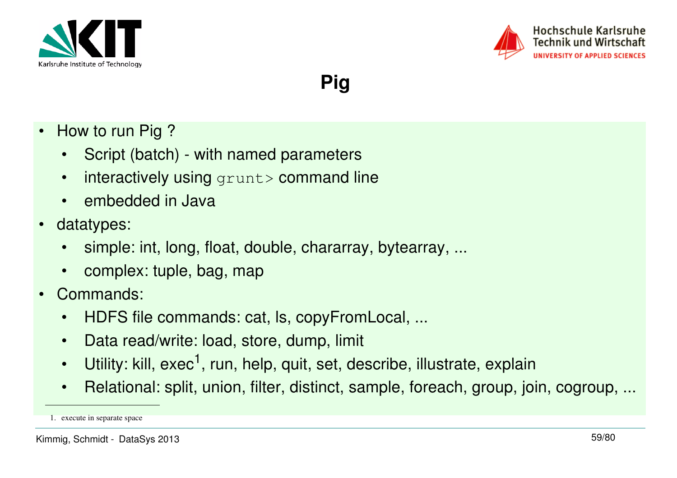



**Pig**

- • How to run Pig ?
	- Script (batch) with named parameters
	- •interactively using grunt> command line
	- embedded in Java
- $\bullet$  datatypes:
	- •simple: int, long, float, double, chararray, bytearray, ...
	- complex: tuple, bag, map
- • Commands:
	- •HDFS file commands: cat, ls, copyFromLocal, ...
	- $\bullet$ Data read/write: load, store, dump, limit
	- •Utility: kill, exec<sup>1</sup>, run, help, quit, set, describe, illustrate, explain
	- $\bullet$ Relational: split, union, filter, distinct, sample, foreach, group, join, cogroup, ...

<sup>1.</sup> execute in separate space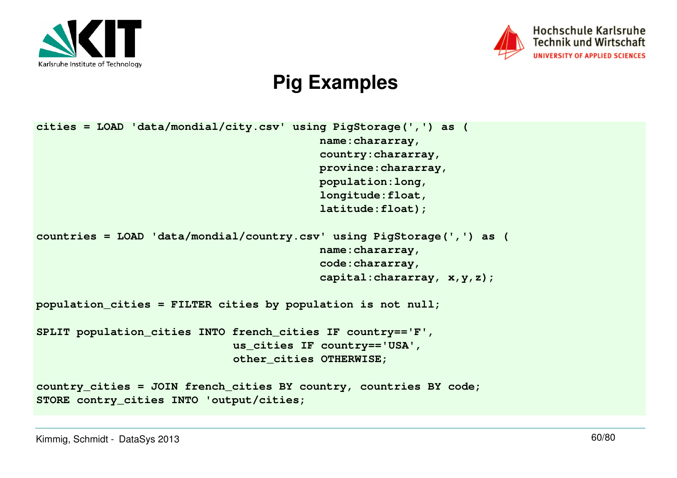



#### **Pig Examples**

```
cities = LOAD 'data/mondial/city.csv' using PigStorage(',') as ( name:chararray,
 country:chararray,
 province:chararray, population:long,
 longitude:float,
 latitude:float);countries = LOAD 'data/mondial/country.csv' using PigStorage(',') as ( name:chararray,
 code:chararray,
 capital:chararray, x,y,z);population_cities = FILTER cities by population is not null;SPLIT population_cities INTO french_cities IF country=='F',us_cities IF country=='USA', other_cities OTHERWISE;country_cities = JOIN french_cities BY country, countries BY code;STORE contry_cities INTO 'output/cities;
```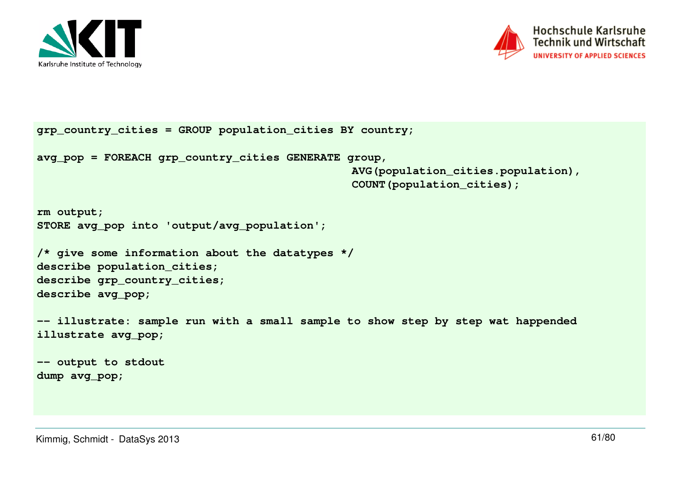



```
grp_country_cities = GROUP population_cities BY country;avg_pop = FOREACH grp_country_cities GENERATE group, 
AVG(population_cities.population),COUNT(population_cities);rm output;
STORE avg_pop into 'output/avg_population';/* give some information about the datatypes */describe population_cities;
describe grp_country_cities;describe avg_pop;-- illustrate: sample run with a small sample to show step by step wat happended illustrate avg_pop;-- output to stdoutdump avg_pop;
```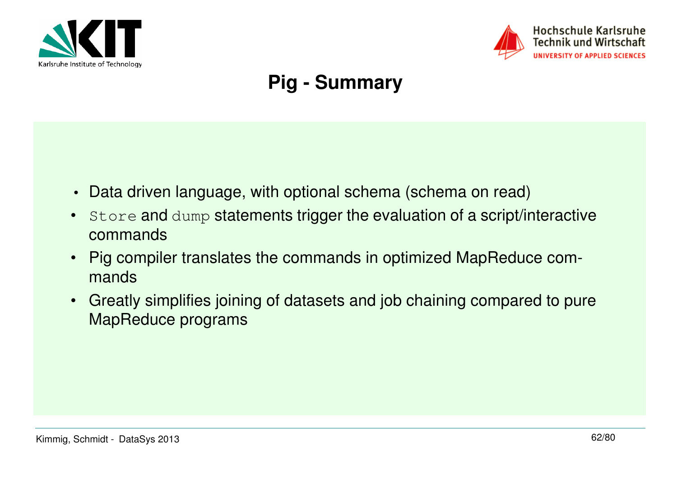



# **Pig - Summary**

- $\bullet$ Data driven language, with optional schema (schema on read)
- $\bullet$  Store and dump statements trigger the evaluation of a script/interactive commands
- Pig compiler translates the commands in optimized MapReduce commands
- • Greatly simplifies joining of datasets and job chaining compared to pure MapReduce programs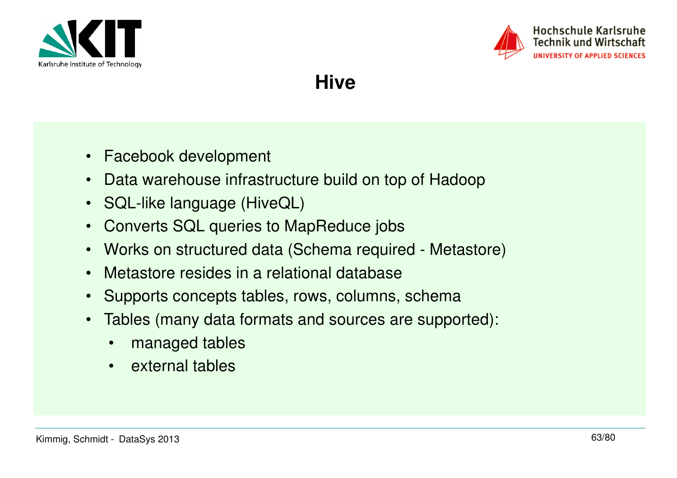



**Hive**

- Facebook development
- $\bullet$ Data warehouse infrastructure build on top of Hadoop
- SQL-like language (HiveQL)
- $\bullet$ Converts SQL queries to MapReduce jobs
- •Works on structured data (Schema required - Metastore)
- •Metastore resides in a relational database
- $\bullet$ Supports concepts tables, rows, columns, schema
- • Tables (many data formats and sources are supported):
	- •managed tables
	- •external tables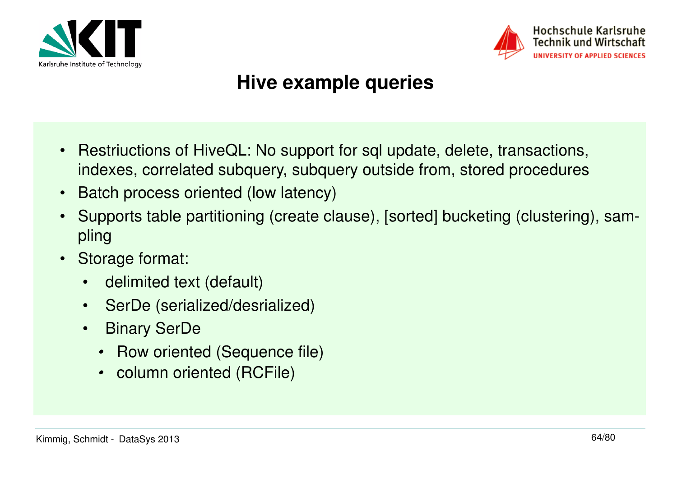



#### **Hive example queries**

- Restriuctions of HiveQL: No support for sql update, delete, transactions, indexes, correlated subquery, subquery outside from, stored procedures
- Batch process oriented (low latency)
- Supports table partitioning (create clause), [sorted] bucketing (clustering), sampling
- • Storage format:
	- delimited text (default)
	- SerDe (serialized/desrialized)
	- • Binary SerDe
		- Row oriented (Sequence file)
		- column oriented (RCFile)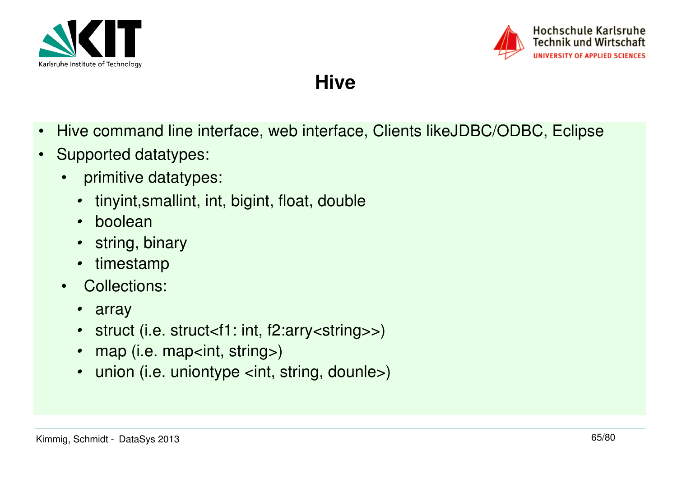



**Hive**

- $\bullet$ Hive command line interface, web interface, Clients likeJDBC/ODBC, Eclipse
- • Supported datatypes:
	- • primitive datatypes:
		- •tinyint,smallint, int, bigint, float, double
		- boolean
		- string, binary •
		- •timestamp
	- Collections:  $\bullet$ 
		- array
		- struct (i.e. struct<f1: int, f2:arry<string>>) •
		- •map (i.e. map<int, string>)
		- •union (i.e. uniontype <int, string, dounle>)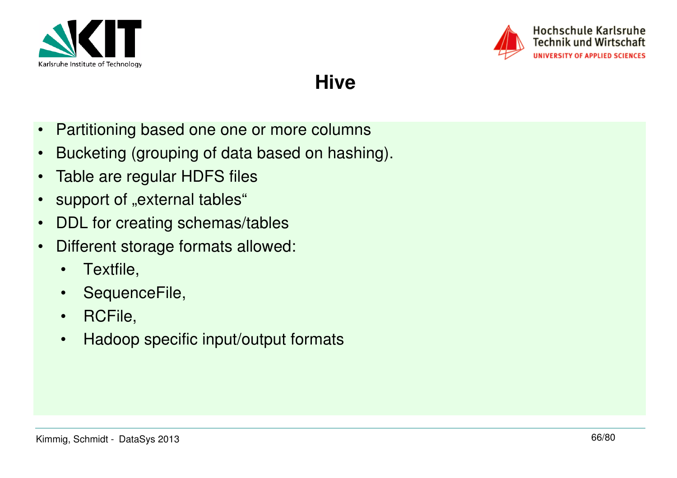



**Hive**

- •Partitioning based one one or more columns
- •Bucketing (grouping of data based on hashing).
- •Table are regular HDFS files
- •support of "external tables"
- •DDL for creating schemas/tables
- • Different storage formats allowed:
	- $\bullet$ Textfile,
	- SequenceFile,
	- RCFile,
	- $\bullet$ Hadoop specific input/output formats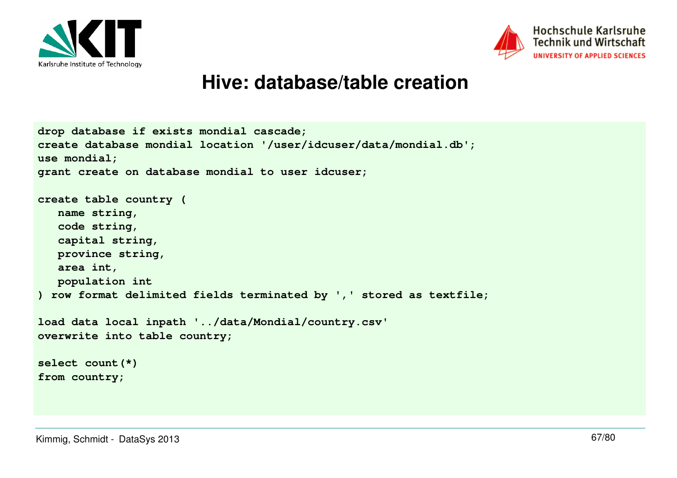



#### Hochschule Karlsruhe **Technik und Wirtschaft** UNIVERSITY OF APPLIED SCIENCES

#### **Hive: database/table creation**

```
drop database if exists mondial cascade;
create database mondial location '/user/idcuser/data/mondial.db';use mondial;
grant create on database mondial to user idcuser;create table country ( name string,
 code string,
 capital string,
 province string, area int,
 population int
) row format delimited fields terminated by ',' stored as textfile;load data local inpath '../data/Mondial/country.csv'overwrite into table country;select count(*)from country;
```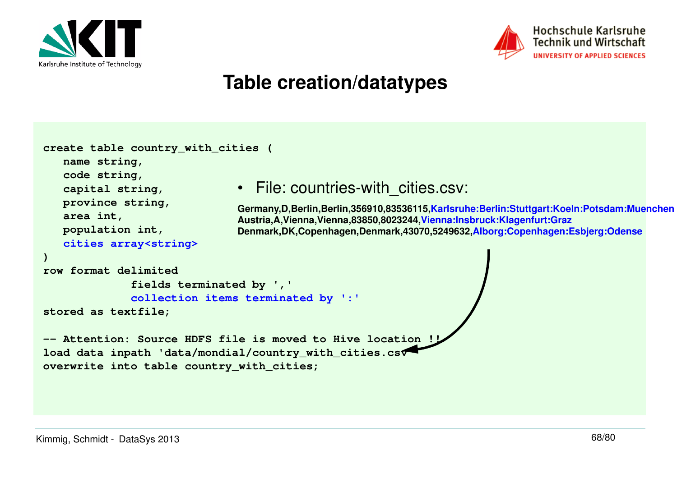



#### **Table creation/datatypes**

```
create table country_with_cities ( name string,
 code string,
 capital string,
 province string, area int,
 population int,
cities array<string>)
row format delimited
 fields terminated by ','
collection items terminated by ':'stored as textfile;-- Attention: Source HDFS file is moved to Hive location
load data inpath 'data/mondial/country_with_cities.csv'overwrite into table country_with_cities;• File: countries-with_cities.csv:
                               Germany,D,Berlin,Berlin,356910,83536115,Karlsruhe:Berlin:Stuttgart:Koeln:Potsdam:MuenchenAustria,A,Vienna,Vienna,83850,8023244,Vienna:Insbruck:Klagenfurt:Graz
Denmark,DK,Copenhagen,Denmark,43070,5249632,Alborg:Copenhagen:Esbjerg:Odense
```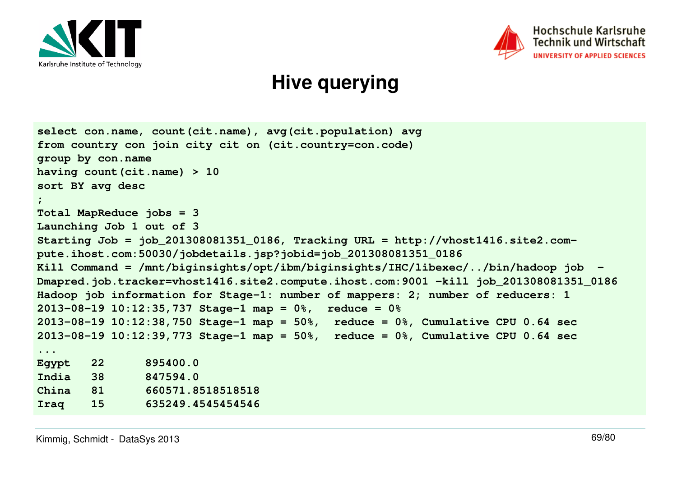



#### **Hive querying**

```
select con.name, count(cit.name), avg(cit.population) avg
from country con join city cit on (cit.country=con.code)group by con.name
having count(cit.name) > 10sort BY avg desc;
Total MapReduce jobs = 3
Launching Job 1 out of 3
Starting Job = job_201308081351_0186, Tracking URL = http://vhost1416.site2.com-
pute.ihost.com:50030/jobdetails.jsp?jobid=job_201308081351_0186
Kill Command = /mnt/biginsights/opt/ibm/biginsights/IHC/libexec/../bin/hadoop job -
Dmapred.job.tracker=vhost1416.site2.compute.ihost.com:9001 -kill job_201308081351_0186Hadoop job information for Stage-1: number of mappers: 2; number of reducers: 12013-08-19 10:12:35,737 Stage-1 map = 0%, reduce = 0%
2013-08-19 10:12:38,750 Stage-1 map = 50%, reduce = 0%, Cumulative CPU 0.64 sec
2013-08-19 10:12:39,773 Stage-1 map = 50%, reduce = 0%, Cumulative CPU 0.64 sec...Egypt
       Egypt 22 895400.0
India 38 847594.0
China 81 660571.8518518518
Iraq 15 635249.4545454546
```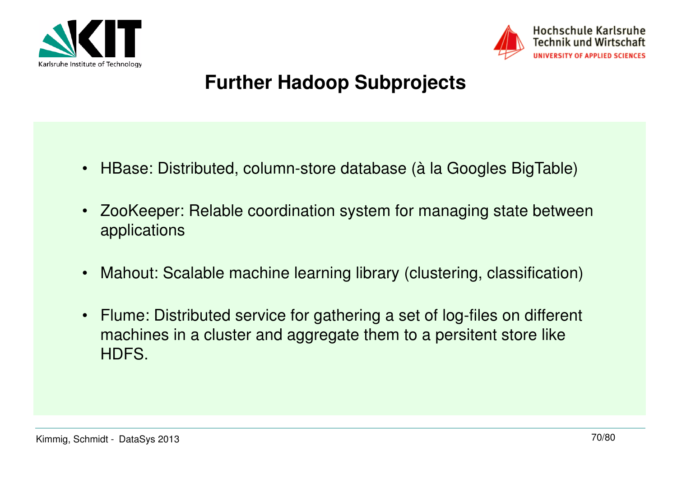



# **Further Hadoop Subprojects**

- HBase: Distributed, column-store database (à la Googles BigTable)
- $\bullet$  ZooKeeper: Relable coordination system for managing state between applications
- Mahout: Scalable machine learning library (clustering, classification)
- Flume: Distributed service for gathering a set of log-files on different machines in a cluster and aggregate them to a persitent store like HDFS.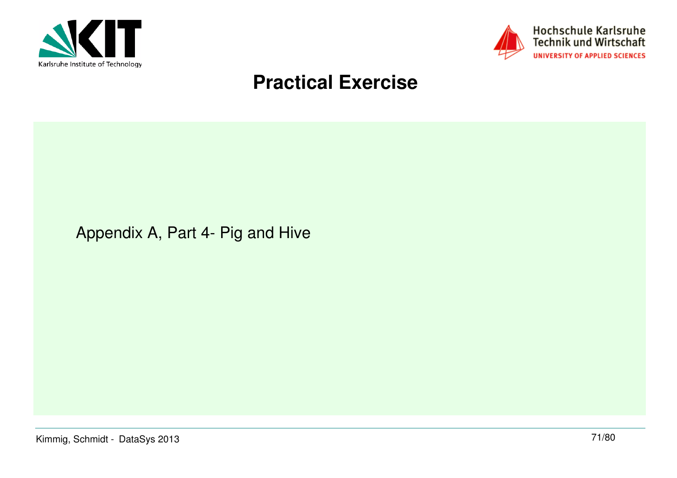



#### **Practical Exercise**

Appendix A, Part 4- Pig and Hive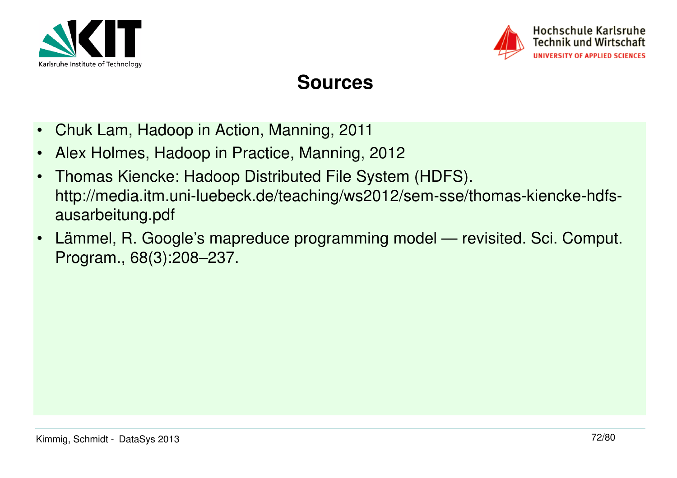



#### Hochschule Karlsruhe **Technik und Wirtschaft UNIVERSITY OF APPLIED SCIENCES**

#### **Sources**

- •Chuk Lam, Hadoop in Action, Manning, 2011
- •Alex Holmes, Hadoop in Practice, Manning, 2012
- • Thomas Kiencke: Hadoop Distributed File System (HDFS). http://media.itm.uni-luebeck.de/teaching/ws2012/sem-sse/thomas-kiencke-hdfsausarbeitung.pdf
- • Lämmel, R. Google's mapreduce programming model — revisited. Sci. Comput. Program., 68(3):208–237.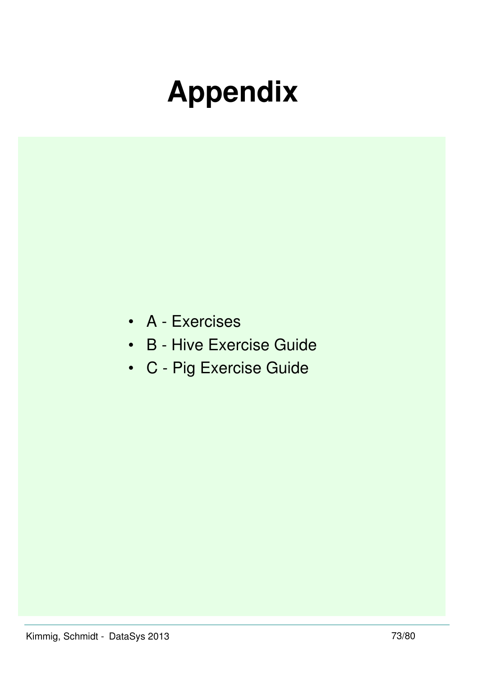# **Appendix**

- A Exercises
- B Hive Exercise Guide
- C Pig Exercise Guide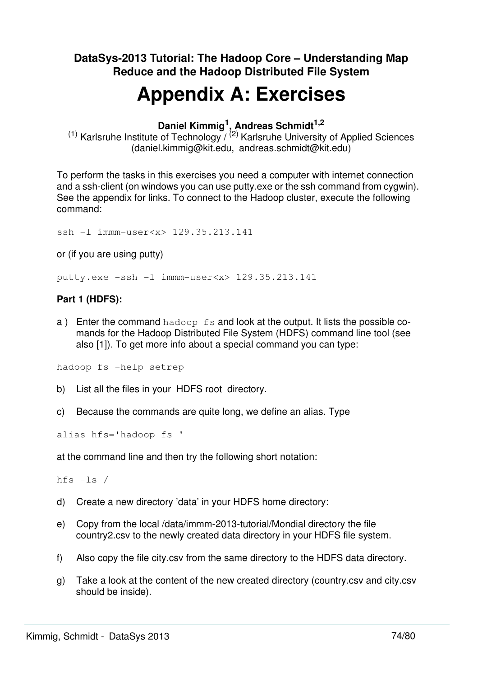### **DataSys-2013 Tutorial: The Hadoop Core – Understanding Map Reduce and the Hadoop Distributed File System**

# **Appendix A: Exercises**

### **Daniel Kimmig<sup>1</sup> , Andreas Schmidt1,2**

<sup>(1)</sup> Karlsruhe Institute of Technology  $\sqrt{(2)}$  Karlsruhe University of Applied Sciences (daniel.kimmig@kit.edu, andreas.schmidt@kit.edu)

To perform the tasks in this exercises you need a computer with internet connection and a ssh-client (on windows you can use putty.exe or the ssh command from cygwin). See the appendix for links. To connect to the Hadoop cluster, execute the following command:

ssh -l immm-user<x> 129.35.213.141

or (if you are using putty)

putty.exe -ssh -l immm-user<x> 129.35.213.141

### **Part 1 (HDFS):**

a) Enter the command hadoop fs and look at the output. It lists the possible comands for the Hadoop Distributed File System (HDFS) command line tool (see also [1]). To get more info about a special command you can type:

hadoop fs -help setrep

- b) List all the files in your HDFS root directory.
- c) Because the commands are quite long, we define an alias. Type

alias hfs='hadoop fs '

at the command line and then try the following short notation:

hfs -ls /

- d) Create a new directory 'data' in your HDFS home directory:
- e) Copy from the local /data/immm-2013-tutorial/Mondial directory the file country2.csv to the newly created data directory in your HDFS file system.
- f) Also copy the file city.csv from the same directory to the HDFS data directory.
- g) Take a look at the content of the new created directory (country.csv and city.csv should be inside).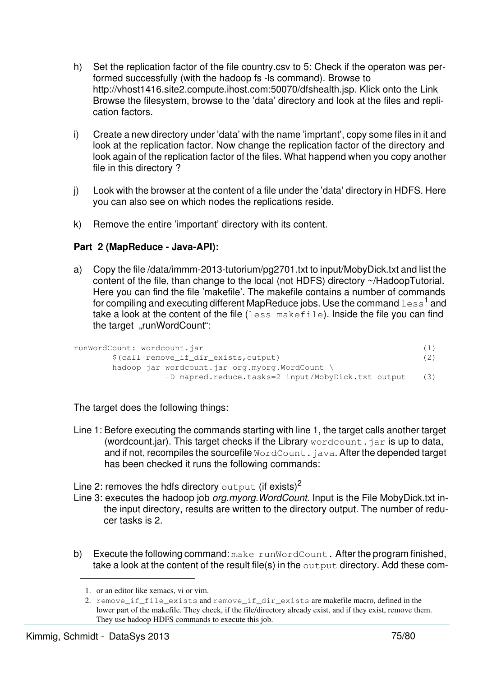- h) Set the replication factor of the file country.csv to 5: Check if the operaton was performed successfully (with the hadoop fs -ls command). Browse to http://vhost1416.site2.compute.ihost.com:50070/dfshealth.jsp. Klick onto the Link Browse the filesystem, browse to the 'data' directory and look at the files and replication factors.
- i) Create a new directory under 'data' with the name 'imprtant', copy some files in it and look at the replication factor. Now change the replication factor of the directory and look again of the replication factor of the files. What happend when you copy another file in this directory ?
- j) Look with the browser at the content of a file under the 'data' directory in HDFS. Here you can also see on which nodes the replications reside.
- k) Remove the entire 'important' directory with its content.

### **Part 2 (MapReduce - Java-API):**

a) Copy the file /data/immm-2013-tutorium/pg2701.txt to input/MobyDick.txt and list the content of the file, than change to the local (not HDFS) directory ~/HadoopTutorial. Here you can find the file 'makefile'. The makefile contains a number of commands for compiling and executing different MapReduce jobs. Use the command  $1e\mathrm{s\,s\,{}^{1}}$  and take a look at the content of the file (less makefile). Inside the file you can find the target "runWordCount":

```
runWordCount: wordcount.jar (1)
      $(call remove_if_dir_exists,output) (2)
      hadoop jar wordcount.jar org.myorg.WordCount \
              -D mapred.reduce.tasks=2 input/MobyDick.txt output (3)
```
The target does the following things:

- Line 1: Before executing the commands starting with line 1, the target calls another target (wordcount.jar). This target checks if the Library  $wordcount$ , jar is up to data, and if not, recompiles the sourcefile  $WordCount$ , java. After the depended target has been checked it runs the following commands:
- Line 2: removes the hdfs directory output (if exists)<sup>2</sup>
- Line 3: executes the hadoop job *org.myorg. WordCount*. Input is the File MobyDick.txt inthe input directory, results are written to the directory output. The number of reducer tasks is 2.
- b) Execute the following command: make runWordCount. After the program finished, take a look at the content of the result file(s) in the output directory. Add these com-

<sup>1.</sup> or an editor like xemacs, vi or vim.

<sup>2.</sup> remove if file exists and remove if dir exists are makefile macro, defined in the lower part of the makefile. They check, if the file/directory already exist, and if they exist, remove them. They use hadoop HDFS commands to execute this job.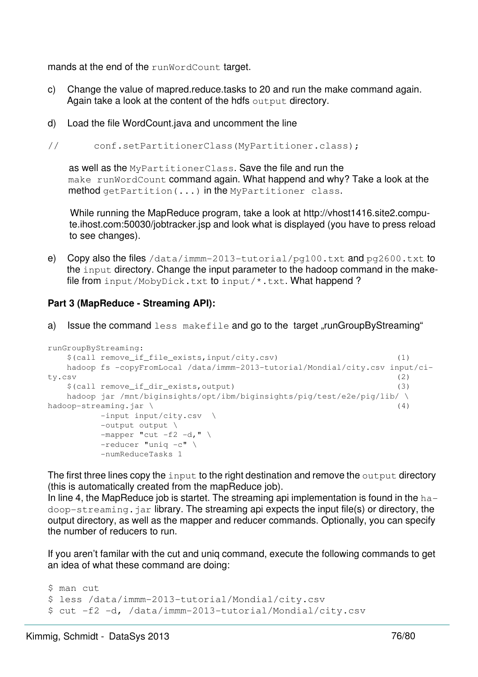mands at the end of the runWordCount target.

- c) Change the value of mapred.reduce.tasks to 20 and run the make command again. Again take a look at the content of the hdfs output directory.
- d) Load the file WordCount.java and uncomment the line

// conf.setPartitionerClass(MyPartitioner.class);

as well as the MyPartitionerClass. Save the file and run the make runWordCount command again. What happend and why? Take a look at the method getPartition(...) in the MyPartitioner class.

While running the MapReduce program, take a look at http://vhost1416.site2.compute.ihost.com:50030/jobtracker.jsp and look what is displayed (you have to press reload to see changes).

e) Copy also the files /data/immm-2013-tutorial/pg100.txt and pg2600.txt to the input directory. Change the input parameter to the hadoop command in the makefile from input/MobyDick.txt to input/\*.txt. What happend?

### **Part 3 (MapReduce - Streaming API):**

a) Issue the command  $less makefile$  and go to the target "runGroupByStreaming"

```
runGroupByStreaming:
   $(call remove_if_file_exists,input/city.csv) (1)
   hadoop fs -copyFromLocal /data/immm-2013-tutorial/Mondial/city.csv input/ci-
ty.csv (2)
   $(call remove_if_dir_exists,output) (3)
  hadoop jar /mnt/biginsights/opt/ibm/biginsights/pig/test/e2e/pig/lib/\
hadoop-streaming.jar \ (4)
        -input input/city.csv \
        -output output \
       -mapper "cut -f2 -d," \
        -reducer "uniq -c" \
        -numReduceTasks 1
```
The first three lines copy the input to the right destination and remove the output directory (this is automatically created from the mapReduce job).

In line 4, the MapReduce job is startet. The streaming api implementation is found in the  $ha$ doop-streaming. jar library. The streaming api expects the input file(s) or directory, the output directory, as well as the mapper and reducer commands. Optionally, you can specify the number of reducers to run.

If you aren't familar with the cut and uniq command, execute the following commands to get an idea of what these command are doing:

```
$ man cut
$ less /data/immm-2013-tutorial/Mondial/city.csv
$ cut -f2 -d, /data/immm-2013-tutorial/Mondial/city.csv
```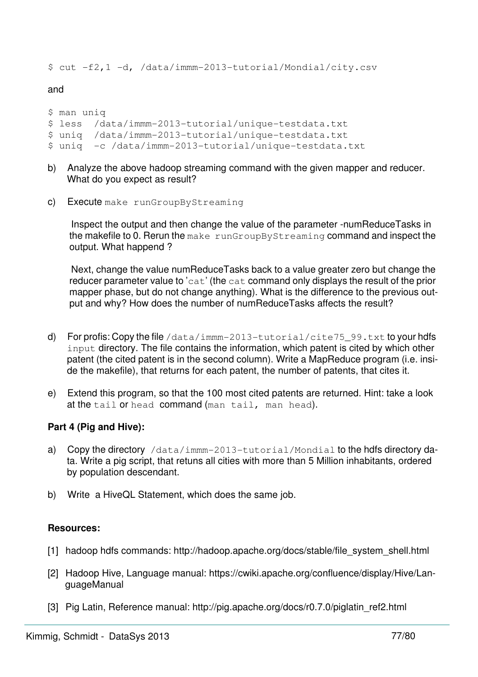\$ cut -f2,1 -d, /data/immm-2013-tutorial/Mondial/city.csv

#### and

```
$ man uniq 
$ less /data/immm-2013-tutorial/unique-testdata.txt
$ uniq /data/immm-2013-tutorial/unique-testdata.txt
$ uniq -c /data/immm-2013-tutorial/unique-testdata.txt
```
- b) Analyze the above hadoop streaming command with the given mapper and reducer. What do you expect as result?
- c) Execute make runGroupByStreaming

Inspect the output and then change the value of the parameter -numReduceTasks in the makefile to 0. Rerun the make runGroupByStreaming command and inspect the output. What happend ?

Next, change the value numReduceTasks back to a value greater zero but change the reducer parameter value to 'cat' (the cat command only displays the result of the prior mapper phase, but do not change anything). What is the difference to the previous output and why? How does the number of numReduceTasks affects the result?

- d) For profis: Copy the file /data/immm-2013-tutorial/cite75\_99.txt to your hdfs input directory. The file contains the information, which patent is cited by which other patent (the cited patent is in the second column). Write a MapReduce program (i.e. inside the makefile), that returns for each patent, the number of patents, that cites it.
- e) Extend this program, so that the 100 most cited patents are returned. Hint: take a look at the tail or head command (man tail, man head).

#### **Part 4 (Pig and Hive):**

- a) Copy the directory /data/immm-2013-tutorial/Mondial to the hdfs directory data. Write a pig script, that retuns all cities with more than 5 Million inhabitants, ordered by population descendant.
- b) Write a HiveQL Statement, which does the same job.

#### **Resources:**

- [1] hadoop hdfs commands: http://hadoop.apache.org/docs/stable/file\_system\_shell.html
- [2] Hadoop Hive, Language manual: https://cwiki.apache.org/confluence/display/Hive/LanguageManual
- [3] Pig Latin, Reference manual: http://pig.apache.org/docs/r0.7.0/piglatin\_ref2.html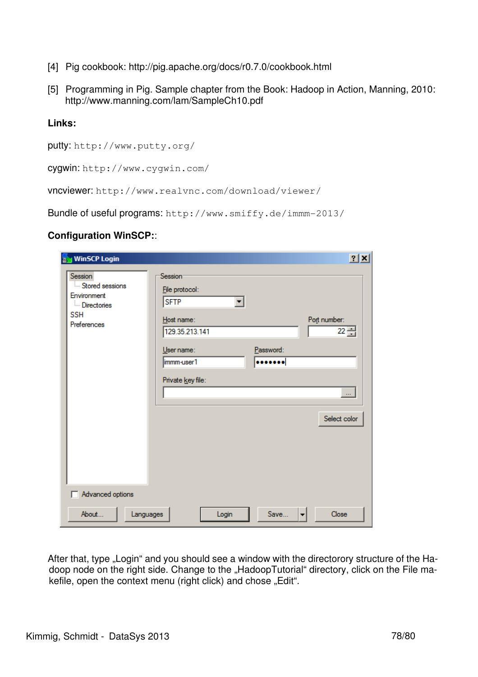- [4] Pig cookbook: http://pig.apache.org/docs/r0.7.0/cookbook.html
- [5] Programming in Pig. Sample chapter from the Book: Hadoop in Action, Manning, 2010: http://www.manning.com/lam/SampleCh10.pdf

### **Links:**

```
putty: http://www.putty.org/
```
cygwin: http://www.cygwin.com/

vncviewer: http://www.realvnc.com/download/viewer/

Bundle of useful programs: http://www.smiffy.de/immm-2013/

### **Configuration WinSCP:**:

| <b>WinSCP Login</b>                                                                   |                                                                                                                                                              | 2x                                                     |
|---------------------------------------------------------------------------------------|--------------------------------------------------------------------------------------------------------------------------------------------------------------|--------------------------------------------------------|
| Session<br>Stored sessions<br>Environment<br><b>Directories</b><br>SSH<br>Preferences | Session <sup>-</sup><br>File protocol:<br><b>SFTP</b><br>▼<br>Host name:<br>129.35.213.141<br>Password:<br>User name:<br><br>immm-user1<br>Private key file: | Port number:<br>$22 -$<br>$\mathbf{r}$<br>Select color |
| Advanced options                                                                      |                                                                                                                                                              |                                                        |
| About<br>Languages                                                                    | Save<br>Login                                                                                                                                                | Close<br>▼                                             |

After that, type "Login" and you should see a window with the directorory structure of the Hadoop node on the right side. Change to the "HadoopTutorial" directory, click on the File makefile, open the context menu (right click) and chose "Edit".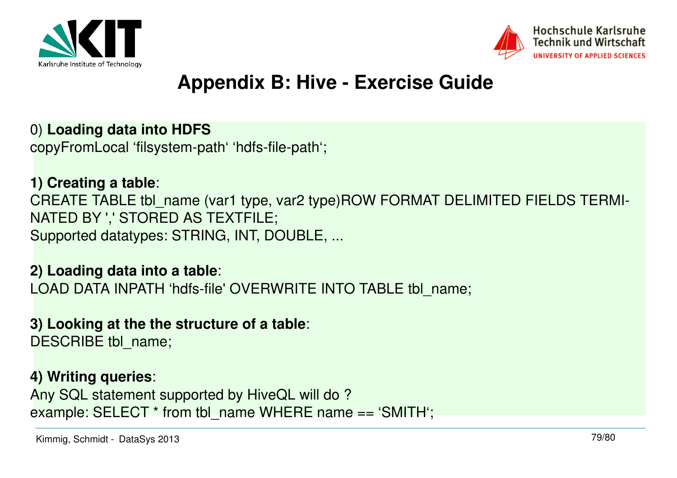



# **Appendix B: Hive - Exercise Guide**

### 0) **Loading data into HDFS**

copyFromLocal 'filsystem-path' 'hdfs-file-path';

# **1) Creating a table**:

CREATE TABLE tbl\_name (var1 type, var2 type)ROW FORMAT DELIMITED FIELDS TERMI-NATED BY ',' STORED AS TEXTFILE;Supported datatypes: STRING, INT, DOUBLE, ...

## **2) Loading data into a table**:

LOAD DATA INPATH 'hdfs-file' OVERWRITE INTO TABLE tbl\_name;

### **3) Looking at the the structure of a table**:

DESCRIBE tbl\_name;

### **4) Writing queries**:

Any SQL statement supported by HiveQL will do ?example: SELECT \* from tbl\_name WHERE name == 'SMITH';